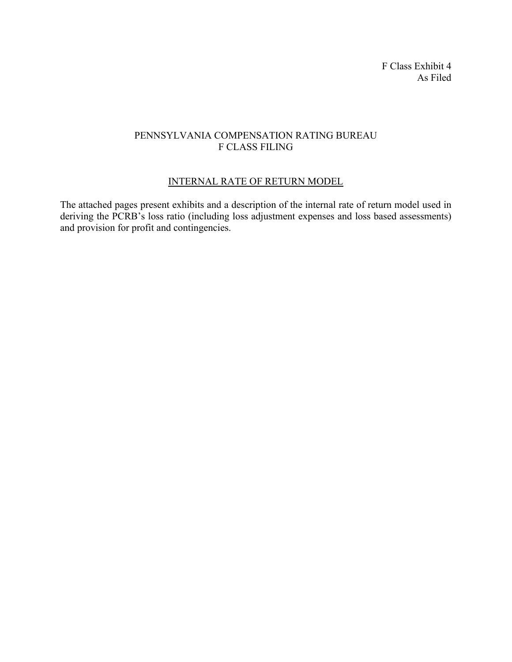F Class Exhibit 4 As Filed

# PENNSYLVANIA COMPENSATION RATING BUREAU F CLASS FILING

# INTERNAL RATE OF RETURN MODEL

The attached pages present exhibits and a description of the internal rate of return model used in deriving the PCRB's loss ratio (including loss adjustment expenses and loss based assessments) and provision for profit and contingencies.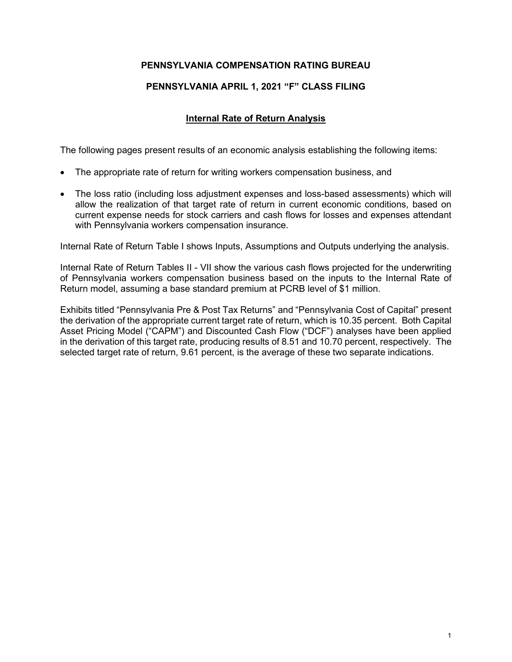# **PENNSYLVANIA COMPENSATION RATING BUREAU**

# **PENNSYLVANIA APRIL 1, 2021 "F" CLASS FILING**

## **Internal Rate of Return Analysis**

The following pages present results of an economic analysis establishing the following items:

- The appropriate rate of return for writing workers compensation business, and
- The loss ratio (including loss adjustment expenses and loss-based assessments) which will allow the realization of that target rate of return in current economic conditions, based on current expense needs for stock carriers and cash flows for losses and expenses attendant with Pennsylvania workers compensation insurance.

Internal Rate of Return Table I shows Inputs, Assumptions and Outputs underlying the analysis.

Internal Rate of Return Tables II - VII show the various cash flows projected for the underwriting of Pennsylvania workers compensation business based on the inputs to the Internal Rate of Return model, assuming a base standard premium at PCRB level of \$1 million.

Exhibits titled "Pennsylvania Pre & Post Tax Returns" and "Pennsylvania Cost of Capital" present the derivation of the appropriate current target rate of return, which is 10.35 percent. Both Capital Asset Pricing Model ("CAPM") and Discounted Cash Flow ("DCF") analyses have been applied in the derivation of this target rate, producing results of 8.51 and 10.70 percent, respectively. The selected target rate of return, 9.61 percent, is the average of these two separate indications.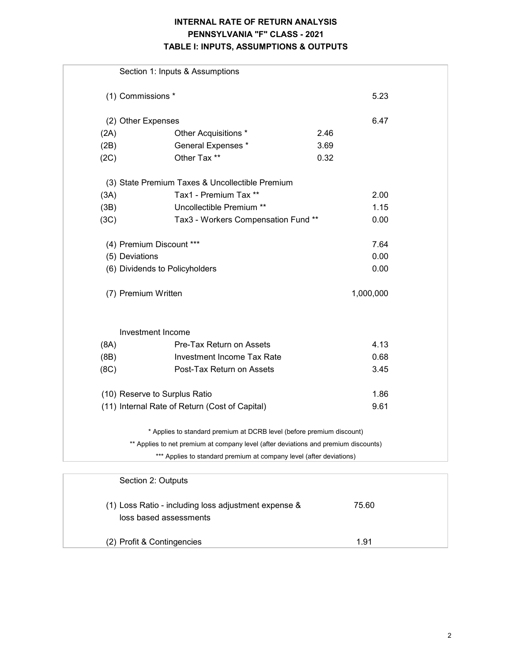# **INTERNAL RATE OF RETURN ANALYSIS PENNSYLVANIA "F" CLASS - 2021 TABLE I: INPUTS, ASSUMPTIONS & OUTPUTS**

|      | Section 1: Inputs & Assumptions                                                     |           |
|------|-------------------------------------------------------------------------------------|-----------|
|      | (1) Commissions *                                                                   | 5.23      |
|      | (2) Other Expenses                                                                  | 6.47      |
| (2A) | Other Acquisitions *                                                                | 2.46      |
| (2B) | General Expenses *                                                                  | 3.69      |
| (2C) | Other Tax **                                                                        | 0.32      |
|      | (3) State Premium Taxes & Uncollectible Premium                                     |           |
| (3A) | Tax1 - Premium Tax **                                                               | 2.00      |
| (3B) | Uncollectible Premium **                                                            | 1.15      |
| (3C) | Tax3 - Workers Compensation Fund **                                                 | 0.00      |
|      | (4) Premium Discount ***                                                            | 7.64      |
|      | (5) Deviations                                                                      | 0.00      |
|      | (6) Dividends to Policyholders                                                      | 0.00      |
|      | (7) Premium Written                                                                 | 1,000,000 |
|      | Investment Income                                                                   |           |
| (8A) | Pre-Tax Return on Assets                                                            | 4.13      |
| (8B) | Investment Income Tax Rate                                                          | 0.68      |
| (8C) | Post-Tax Return on Assets                                                           | 3.45      |
|      | (10) Reserve to Surplus Ratio                                                       | 1.86      |
|      | (11) Internal Rate of Return (Cost of Capital)                                      | 9.61      |
|      | * Applies to standard premium at DCRB level (before premium discount)               |           |
|      | ** Applies to net premium at company level (after deviations and premium discounts) |           |
|      | *** Applies to standard premium at company level (after deviations)                 |           |
|      |                                                                                     |           |
|      | Section 2: Outputs                                                                  |           |

| (1) Loss Ratio - including loss adjustment expense &<br>loss based assessments | 75.60 |  |
|--------------------------------------------------------------------------------|-------|--|
| (2) Profit & Contingencies                                                     | 1.91  |  |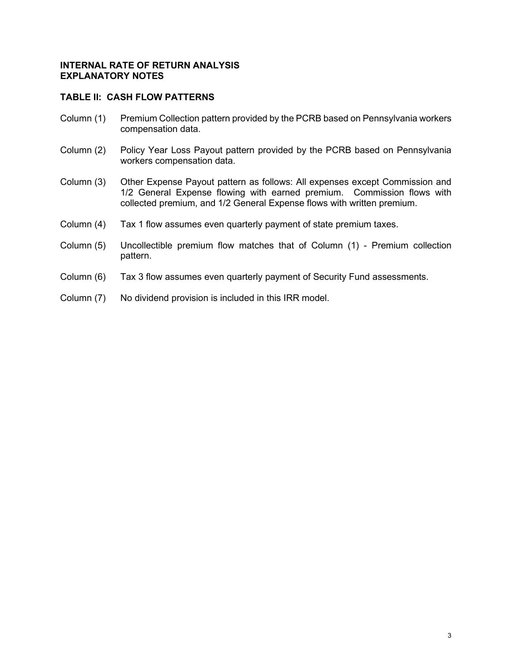## **TABLE II: CASH FLOW PATTERNS**

- Column (1) Premium Collection pattern provided by the PCRB based on Pennsylvania workers compensation data.
- Column (2) Policy Year Loss Payout pattern provided by the PCRB based on Pennsylvania workers compensation data.
- Column (3) Other Expense Payout pattern as follows: All expenses except Commission and 1/2 General Expense flowing with earned premium. Commission flows with collected premium, and 1/2 General Expense flows with written premium.
- Column (4) Tax 1 flow assumes even quarterly payment of state premium taxes.
- Column (5) Uncollectible premium flow matches that of Column (1) Premium collection pattern.
- Column (6) Tax 3 flow assumes even quarterly payment of Security Fund assessments.
- Column (7) No dividend provision is included in this IRR model.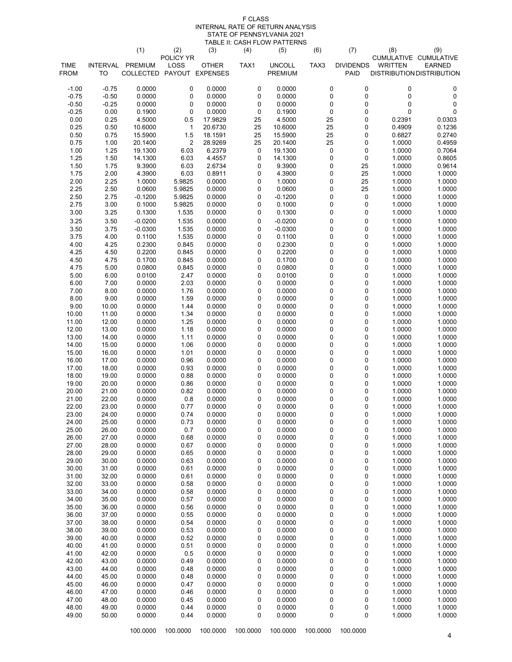#### F CLASS INTERNAL RATE OF RETURN ANALYSIS STATE OF PENNSYLVANIA 2021 TABLE II: CASH FLOW PATTERNS

|                |                | (1)                       | (2)               | (3)              | (4)       | (5)              | (6)                    | (7)                      | (8)              | (9)                                    |
|----------------|----------------|---------------------------|-------------------|------------------|-----------|------------------|------------------------|--------------------------|------------------|----------------------------------------|
| <b>TIME</b>    | INTERVAL       | <b>PREMIUM</b>            | POLICY YR<br>LOSS | <b>OTHER</b>     | TAX1      | <b>UNCOLL</b>    | TAX3                   | <b>DIVIDENDS</b>         | <b>WRITTEN</b>   | CUMULATIVE CUMULATIVE<br><b>EARNED</b> |
| <b>FROM</b>    | TO             | COLLECTED PAYOUT EXPENSES |                   |                  |           | PREMIUM          |                        | PAID                     |                  | <b>DISTRIBUTION DISTRIBUTION</b>       |
| $-1.00$        | $-0.75$        | 0.0000                    | $\pmb{0}$         | 0.0000           | 0         | 0.0000           | $\pmb{0}$              | $\mathbf 0$              | $\pmb{0}$        | 0                                      |
| $-0.75$        | $-0.50$        | 0.0000                    | 0                 | 0.0000           | 0         | 0.0000           | $\pmb{0}$              | $\mathbf 0$              | $\pmb{0}$        | 0                                      |
| $-0.50$        | $-0.25$        | 0.0000                    | 0                 | 0.0000           | 0         | 0.0000           | $\pmb{0}$              | $\pmb{0}$                | $\pmb{0}$        | 0                                      |
| $-0.25$        | 0.00           | 0.1900                    | $\pmb{0}$         | 0.0000           | $\pmb{0}$ | 0.1900           | $\pmb{0}$              | $\mathbf 0$              | $\mathbf 0$      | 0                                      |
| 0.00           | 0.25           | 4.5000                    | 0.5               | 17.9829          | 25        | 4.5000           | 25                     | 0                        | 0.2391           | 0.0303                                 |
| 0.25           | 0.50           | 10.6000                   | 1                 | 20.6730          | 25        | 10.6000          | 25                     | 0                        | 0.4909           | 0.1236                                 |
| 0.50           | 0.75           | 15.5900                   | 1.5               | 18.1591          | 25        | 15.5900          | 25                     | 0                        | 0.6827           | 0.2740                                 |
| 0.75           | 1.00           | 20.1400                   | $\overline{c}$    | 28.9269          | 25        | 20.1400          | 25                     | $\mathbf 0$              | 1.0000           | 0.4959                                 |
| 1.00           | 1.25           | 19.1300                   | 6.03              | 6.2379           | 0         | 19.1300          | $\pmb{0}$              | $\mathbf 0$              | 1.0000           | 0.7064                                 |
| 1.25           | 1.50           | 14.1300                   | 6.03              | 4.4557           | 0         | 14.1300          | $\pmb{0}$              | $\mathbf 0$              | 1.0000           | 0.8605                                 |
| 1.50<br>1.75   | 1.75<br>2.00   | 9.3900<br>4.3900          | 6.03<br>6.03      | 2.6734<br>0.8911 | 0<br>0    | 9.3900<br>4.3900 | $\pmb{0}$<br>0         | 25<br>25                 | 1.0000<br>1.0000 | 0.9614<br>1.0000                       |
| 2.00           | 2.25           | 1.0000                    | 5.9825            | 0.0000           | 0         | 1.0000           | 0                      | 25                       | 1.0000           | 1.0000                                 |
| 2.25           | 2.50           | 0.0600                    | 5.9825            | 0.0000           | 0         | 0.0600           | $\pmb{0}$              | 25                       | 1.0000           | 1.0000                                 |
| 2.50           | 2.75           | $-0.1200$                 | 5.9825            | 0.0000           | 0         | $-0.1200$        | $\pmb{0}$              | $\mathbf 0$              | 1.0000           | 1.0000                                 |
| 2.75           | 3.00           | 0.1000                    | 5.9825            | 0.0000           | 0         | 0.1000           | $\pmb{0}$              | $\pmb{0}$                | 1.0000           | 1.0000                                 |
| 3.00           | 3.25           | 0.1300                    | 1.535             | 0.0000           | 0         | 0.1300           | $\pmb{0}$              | $\mathbf 0$              | 1.0000           | 1.0000                                 |
| 3.25           | 3.50           | $-0.0200$                 | 1.535             | 0.0000           | 0         | $-0.0200$        | $\mathsf{O}\xspace$    | $\pmb{0}$                | 1.0000           | 1.0000                                 |
| 3.50           | 3.75           | $-0.0300$                 | 1.535             | 0.0000           | 0         | $-0.0300$        | $\mathbf 0$            | $\pmb{0}$                | 1.0000           | 1.0000                                 |
| 3.75           | 4.00           | 0.1100                    | 1.535             | 0.0000           | 0         | 0.1100           | $\pmb{0}$              | $\mathbf 0$              | 1.0000           | 1.0000                                 |
| 4.00           | 4.25           | 0.2300                    | 0.845             | 0.0000           | 0         | 0.2300           | $\pmb{0}$              | $\pmb{0}$                | 1.0000           | 1.0000                                 |
| 4.25           | 4.50           | 0.2200                    | 0.845             | 0.0000           | 0         | 0.2200           | $\pmb{0}$              | $\mathbf 0$              | 1.0000           | 1.0000                                 |
| 4.50<br>4.75   | 4.75<br>5.00   | 0.1700<br>0.0800          | 0.845<br>0.845    | 0.0000<br>0.0000 | 0<br>0    | 0.1700<br>0.0800 | 0<br>$\mathbf 0$       | 0<br>0                   | 1.0000<br>1.0000 | 1.0000<br>1.0000                       |
| 5.00           | 6.00           | 0.0100                    | 2.47              | 0.0000           | 0         | 0.0100           | $\pmb{0}$              | 0                        | 1.0000           | 1.0000                                 |
| 6.00           | 7.00           | 0.0000                    | 2.03              | 0.0000           | 0         | 0.0000           | 0                      | 0                        | 1.0000           | 1.0000                                 |
| 7.00           | 8.00           | 0.0000                    | 1.76              | 0.0000           | 0         | 0.0000           | $\pmb{0}$              | 0                        | 1.0000           | 1.0000                                 |
| 8.00           | 9.00           | 0.0000                    | 1.59              | 0.0000           | 0         | 0.0000           | $\mathbf 0$            | 0                        | 1.0000           | 1.0000                                 |
| 9.00           | 10.00          | 0.0000                    | 1.44              | 0.0000           | 0         | 0.0000           | $\pmb{0}$              | 0                        | 1.0000           | 1.0000                                 |
| 10.00          | 11.00          | 0.0000                    | 1.34              | 0.0000           | 0         | 0.0000           | $\mathbf 0$            | $\pmb{0}$                | 1.0000           | 1.0000                                 |
| 11.00          | 12.00          | 0.0000                    | 1.25              | 0.0000           | 0         | 0.0000           | $\pmb{0}$              | $\pmb{0}$                | 1.0000           | 1.0000                                 |
| 12.00          | 13.00          | 0.0000                    | 1.18              | 0.0000           | 0         | 0.0000           | $\pmb{0}$              | 0                        | 1.0000           | 1.0000                                 |
| 13.00<br>14.00 | 14.00<br>15.00 | 0.0000<br>0.0000          | 1.11<br>1.06      | 0.0000<br>0.0000 | 0<br>0    | 0.0000<br>0.0000 | $\pmb{0}$<br>$\pmb{0}$ | $\mathbf 0$<br>$\pmb{0}$ | 1.0000<br>1.0000 | 1.0000<br>1.0000                       |
| 15.00          | 16.00          | 0.0000                    | 1.01              | 0.0000           | 0         | 0.0000           | $\pmb{0}$              | $\mathbf 0$              | 1.0000           | 1.0000                                 |
| 16.00          | 17.00          | 0.0000                    | 0.96              | 0.0000           | 0         | 0.0000           | 0                      | 0                        | 1.0000           | 1.0000                                 |
| 17.00          | 18.00          | 0.0000                    | 0.93              | 0.0000           | 0         | 0.0000           | $\mathbf 0$            | 0                        | 1.0000           | 1.0000                                 |
| 18.00          | 19.00          | 0.0000                    | 0.88              | 0.0000           | 0         | 0.0000           | 0                      | 0                        | 1.0000           | 1.0000                                 |
| 19.00          | 20.00          | 0.0000                    | 0.86              | 0.0000           | 0         | 0.0000           | $\mathbf 0$            | 0                        | 1.0000           | 1.0000                                 |
| 20.00          | 21.00          | 0.0000                    | 0.82              | 0.0000           | 0         | 0.0000           | 0                      | 0                        | 1.0000           | 1.0000                                 |
| 21.00          | 22.00          | 0.0000                    | 0.8               | 0.0000           | 0         | 0.0000           | $\pmb{0}$              | 0                        | 1.0000           | 1.0000                                 |
| 22.00<br>23.00 | 23.00<br>24.00 | 0.0000<br>0.0000          | 0.77<br>0.74      | 0.0000<br>0.0000 | 0<br>0    | 0.0000<br>0.0000 | $\pmb{0}$<br>0         | $\pmb{0}$<br>0           | 1.0000<br>1.0000 | 1.0000<br>1.0000                       |
| 24.00          | 25.00          | 0.0000                    | 0.73              | 0.0000           | 0         | 0.0000           | 0                      | 0                        | 1.0000           | 1.0000                                 |
| 25.00          | 26.00          | 0.0000                    | 0.7               | 0.0000           | 0         | 0.0000           | 0                      | 0                        | 1.0000           | 1.0000                                 |
| 26.00          | 27.00          | 0.0000                    | 0.68              | 0.0000           | 0         | 0.0000           | 0                      | 0                        | 1.0000           | 1.0000                                 |
| 27.00          | 28.00          | 0.0000                    | 0.67              | 0.0000           | 0         | 0.0000           | 0                      | 0                        | 1.0000           | 1.0000                                 |
| 28.00          | 29.00          | 0.0000                    | 0.65              | 0.0000           | 0         | 0.0000           | $\pmb{0}$              | 0                        | 1.0000           | 1.0000                                 |
| 29.00          | 30.00          | 0.0000                    | 0.63              | 0.0000           | 0         | 0.0000           | 0                      | 0                        | 1.0000           | 1.0000                                 |
| 30.00          | 31.00          | 0.0000                    | 0.61              | 0.0000           | 0         | 0.0000           | 0                      | 0                        | 1.0000           | 1.0000                                 |
| 31.00<br>32.00 | 32.00<br>33.00 | 0.0000<br>0.0000          | 0.61<br>0.58      | 0.0000<br>0.0000 | 0<br>0    | 0.0000<br>0.0000 | 0<br>$\pmb{0}$         | 0<br>0                   | 1.0000<br>1.0000 | 1.0000<br>1.0000                       |
| 33.00          | 34.00          | 0.0000                    | 0.58              | 0.0000           | 0         | 0.0000           | 0                      | 0                        | 1.0000           | 1.0000                                 |
| 34.00          | 35.00          | 0.0000                    | 0.57              | 0.0000           | 0         | 0.0000           | 0                      | 0                        | 1.0000           | 1.0000                                 |
| 35.00          | 36.00          | 0.0000                    | 0.56              | 0.0000           | 0         | 0.0000           | 0                      | 0                        | 1.0000           | 1.0000                                 |
| 36.00          | 37.00          | 0.0000                    | 0.55              | 0.0000           | 0         | 0.0000           | 0                      | 0                        | 1.0000           | 1.0000                                 |
| 37.00          | 38.00          | 0.0000                    | 0.54              | 0.0000           | 0         | 0.0000           | 0                      | 0                        | 1.0000           | 1.0000                                 |
| 38.00          | 39.00          | 0.0000                    | 0.53              | 0.0000           | 0         | 0.0000           | $\pmb{0}$              | 0                        | 1.0000           | 1.0000                                 |
| 39.00          | 40.00          | 0.0000                    | 0.52              | 0.0000           | 0         | 0.0000           | 0                      | 0                        | 1.0000           | 1.0000                                 |
| 40.00          | 41.00          | 0.0000                    | 0.51              | 0.0000           | 0         | 0.0000           | 0                      | 0                        | 1.0000           | 1.0000                                 |
| 41.00          | 42.00          | 0.0000                    | 0.5               | 0.0000           | 0         | 0.0000           | $\pmb{0}$              | 0                        | 1.0000           | 1.0000                                 |
| 42.00<br>43.00 | 43.00<br>44.00 | 0.0000<br>0.0000          | 0.49<br>0.48      | 0.0000<br>0.0000 | 0<br>0    | 0.0000<br>0.0000 | 0<br>0                 | 0<br>0                   | 1.0000<br>1.0000 | 1.0000<br>1.0000                       |
| 44.00          | 45.00          | 0.0000                    | 0.48              | 0.0000           | 0         | 0.0000           | 0                      | 0                        | 1.0000           | 1.0000                                 |
| 45.00          | 46.00          | 0.0000                    | 0.47              | 0.0000           | 0         | 0.0000           | 0                      | 0                        | 1.0000           | 1.0000                                 |
| 46.00          | 47.00          | 0.0000                    | 0.46              | 0.0000           | 0         | 0.0000           | 0                      | $\pmb{0}$                | 1.0000           | 1.0000                                 |
| 47.00          | 48.00          | 0.0000                    | 0.45              | 0.0000           | 0         | 0.0000           | 0                      | 0                        | 1.0000           | 1.0000                                 |
| 48.00          | 49.00          | 0.0000                    | 0.44              | 0.0000           | 0         | 0.0000           | 0                      | 0                        | 1.0000           | 1.0000                                 |
| 49.00          | 50.00          | 0.0000                    | 0.44              | 0.0000           | 0         | 0.0000           | $\mathsf 0$            | 0                        | 1.0000           | 1.0000                                 |
|                |                |                           |                   |                  |           |                  |                        |                          |                  |                                        |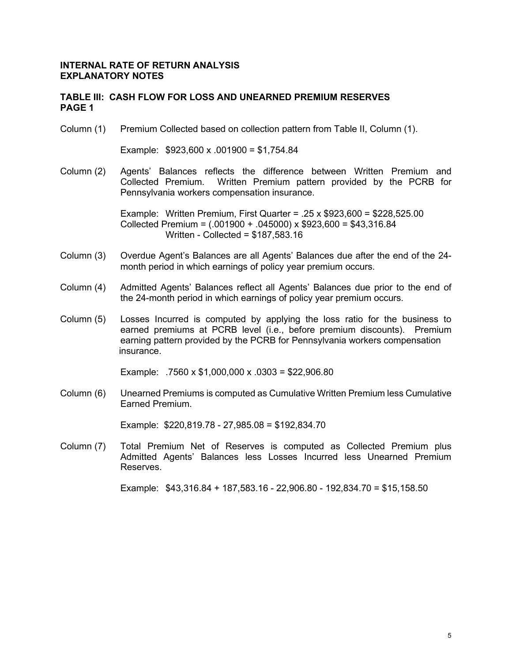#### **TABLE III: CASH FLOW FOR LOSS AND UNEARNED PREMIUM RESERVES PAGE 1**

Column (1) Premium Collected based on collection pattern from Table II, Column (1).

Example: \$923,600 x .001900 = \$1,754.84

Column (2) Agents' Balances reflects the difference between Written Premium and Collected Premium. Written Premium pattern provided by the PCRB for Pennsylvania workers compensation insurance.

> Example: Written Premium, First Quarter =  $.25 \times$  \$923,600 = \$228,525,00 Collected Premium = (.001900 + .045000) x \$923,600 = \$43,316.84 Written - Collected = \$187,583.16

- Column (3) Overdue Agent's Balances are all Agents' Balances due after the end of the 24 month period in which earnings of policy year premium occurs.
- Column (4) Admitted Agents' Balances reflect all Agents' Balances due prior to the end of the 24-month period in which earnings of policy year premium occurs.
- Column (5) Losses Incurred is computed by applying the loss ratio for the business to earned premiums at PCRB level (i.e., before premium discounts). Premium earning pattern provided by the PCRB for Pennsylvania workers compensation insurance.

Example: .7560 x \$1,000,000 x .0303 = \$22,906.80

Column (6) Unearned Premiums is computed as Cumulative Written Premium less Cumulative Earned Premium.

Example: \$220,819.78 - 27,985.08 = \$192,834.70

Column (7) Total Premium Net of Reserves is computed as Collected Premium plus Admitted Agents' Balances less Losses Incurred less Unearned Premium Reserves.

Example: \$43,316.84 + 187,583.16 - 22,906.80 - 192,834.70 = \$15,158.50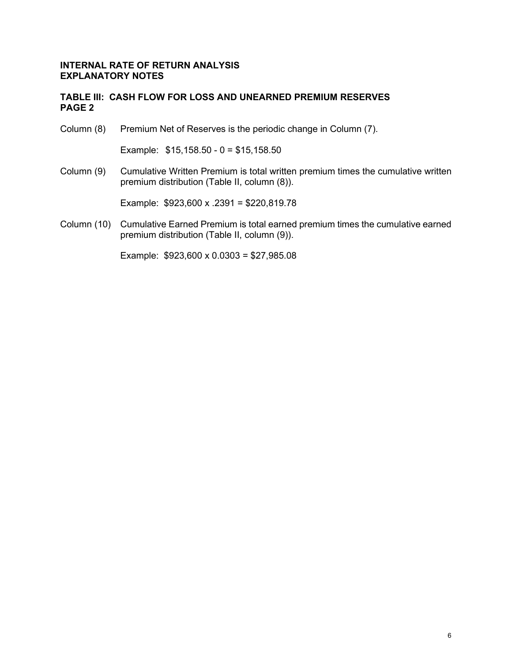## **TABLE III: CASH FLOW FOR LOSS AND UNEARNED PREMIUM RESERVES PAGE 2**

Column (8) Premium Net of Reserves is the periodic change in Column (7).

Example: \$15,158.50 - 0 = \$15,158.50

Column (9) Cumulative Written Premium is total written premium times the cumulative written premium distribution (Table II, column (8)).

Example: \$923,600 x .2391 = \$220,819.78

Column (10) Cumulative Earned Premium is total earned premium times the cumulative earned premium distribution (Table II, column (9)).

Example: \$923,600 x 0.0303 = \$27,985.08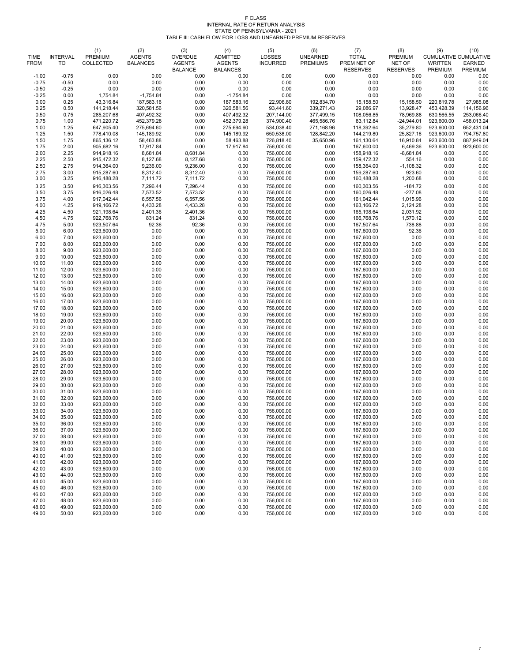|                            |                       | (1)                                | (2)                              | (3)                             | (4)                              | (5)                              | (6)                                | (7)                         | (8)                      | (9)                                            | (10)                     |
|----------------------------|-----------------------|------------------------------------|----------------------------------|---------------------------------|----------------------------------|----------------------------------|------------------------------------|-----------------------------|--------------------------|------------------------------------------------|--------------------------|
| <b>TIME</b><br><b>FROM</b> | <b>INTERVAL</b><br>TO | <b>PREMIUM</b><br><b>COLLECTED</b> | <b>AGENTS</b><br><b>BALANCES</b> | <b>OVERDUE</b><br><b>AGENTS</b> | <b>ADMITTED</b><br><b>AGENTS</b> | <b>LOSSES</b><br><b>INCURRED</b> | <b>UNEARNED</b><br><b>PREMIUMS</b> | <b>TOTAL</b><br>PREM NET OF | <b>PREMIUM</b><br>NET OF | <b>CUMULATIVE CUMULATIVE</b><br><b>WRITTEN</b> | <b>EARNED</b>            |
|                            |                       |                                    |                                  | <b>BALANCE</b>                  | <b>BALANCES</b>                  |                                  |                                    | <b>RESERVES</b>             | <b>RESERVES</b>          | <b>PREMIUM</b>                                 | <b>PREMIUM</b>           |
| $-1.00$                    | $-0.75$               | 0.00                               | 0.00                             | 0.00                            | 0.00                             | 0.00                             | 0.00                               | 0.00                        | 0.00                     | 0.00                                           | 0.00                     |
| $-0.75$                    | $-0.50$               | 0.00                               | 0.00                             | 0.00                            | 0.00                             | 0.00                             | 0.00                               | 0.00                        | 0.00                     | 0.00                                           | 0.00                     |
| $-0.50$<br>$-0.25$         | $-0.25$<br>0.00       | 0.00                               | 0.00                             | 0.00<br>0.00                    | 0.00                             | 0.00<br>0.00                     | 0.00<br>0.00                       | 0.00<br>0.00                | 0.00<br>0.00             | 0.00<br>0.00                                   | 0.00<br>0.00             |
| 0.00                       | 0.25                  | 1,754.84<br>43,316.84              | $-1,754.84$<br>187,583.16        | 0.00                            | $-1,754.84$<br>187,583.16        | 22,906.80                        | 192,834.70                         | 15,158.50                   | 15,158.50                | 220,819.78                                     | 27,985.08                |
| 0.25                       | 0.50                  | 141,218.44                         | 320,581.56                       | 0.00                            | 320,581.56                       | 93,441.60                        | 339,271.43                         | 29,086.97                   | 13,928.47                | 453,428.39                                     | 114,156.96               |
| 0.50                       | 0.75                  | 285,207.68                         | 407,492.32                       | 0.00                            | 407,492.32                       | 207,144.00                       | 377,499.15                         | 108,056.85                  | 78,969.88                | 630,565.55                                     | 253,066.40               |
| 0.75                       | 1.00                  | 471,220.72                         | 452,379.28                       | 0.00                            | 452,379.28                       | 374,900.40                       | 465,586.76                         | 83,112.84                   | $-24,944.01$             | 923,600.00                                     | 458,013.24               |
| 1.00                       | 1.25                  | 647,905.40                         | 275,694.60                       | 0.00                            | 275,694.60                       | 534,038.40                       | 271,168.96                         | 118,392.64                  | 35,279.80                | 923,600.00                                     | 652,431.04               |
| 1.25                       | 1.50                  | 778,410.08                         | 145,189.92                       | 0.00                            | 145,189.92                       | 650,538.00                       | 128,842.20                         | 144,219.80                  | 25,827.16                | 923,600.00                                     | 794,757.80               |
| 1.50<br>1.75               | 1.75<br>2.00          | 865,136.12<br>905,682.16           | 58,463.88<br>17,917.84           | 0.00<br>0.00                    | 58,463.88<br>17,917.84           | 726,818.40<br>756,000.00         | 35,650.96<br>0.00                  | 161,130.64<br>167,600.00    | 16,910.84<br>6,469.36    | 923,600.00<br>923,600.00                       | 887,949.04<br>923,600.00 |
| 2.00                       | 2.25                  | 914,918.16                         | 8,681.84                         | 8,681.84                        | 0.00                             | 756,000.00                       | 0.00                               | 158,918.16                  | $-8,681.84$              | 0.00                                           | 0.00                     |
| 2.25                       | 2.50                  | 915,472.32                         | 8,127.68                         | 8,127.68                        | 0.00                             | 756,000.00                       | 0.00                               | 159,472.32                  | 554.16                   | 0.00                                           | 0.00                     |
| 2.50                       | 2.75                  | 914,364.00                         | 9,236.00                         | 9,236.00                        | 0.00                             | 756,000.00                       | 0.00                               | 158,364.00                  | $-1,108.32$              | 0.00                                           | 0.00                     |
| 2.75                       | 3.00                  | 915,287.60                         | 8,312.40                         | 8,312.40                        | 0.00                             | 756,000.00                       | 0.00                               | 159,287.60                  | 923.60                   | 0.00                                           | 0.00                     |
| 3.00                       | 3.25                  | 916,488.28                         | 7,111.72                         | 7,111.72                        | 0.00                             | 756,000.00                       | 0.00                               | 160,488.28                  | 1,200.68                 | 0.00                                           | 0.00                     |
| 3.25                       | 3.50<br>3.75          | 916,303.56                         | 7,296.44                         | 7,296.44                        | 0.00                             | 756,000.00                       | 0.00                               | 160,303.56                  | $-184.72$<br>$-277.08$   | 0.00                                           | 0.00                     |
| 3.50<br>3.75               | 4.00                  | 916,026.48<br>917,042.44           | 7,573.52<br>6,557.56             | 7,573.52<br>6,557.56            | 0.00<br>0.00                     | 756,000.00<br>756,000.00         | 0.00<br>0.00                       | 160,026.48<br>161,042.44    | 1,015.96                 | 0.00<br>0.00                                   | 0.00<br>0.00             |
| 4.00                       | 4.25                  | 919,166.72                         | 4,433.28                         | 4,433.28                        | 0.00                             | 756,000.00                       | 0.00                               | 163,166.72                  | 2,124.28                 | 0.00                                           | 0.00                     |
| 4.25                       | 4.50                  | 921,198.64                         | 2,401.36                         | 2,401.36                        | 0.00                             | 756,000.00                       | 0.00                               | 165,198.64                  | 2,031.92                 | 0.00                                           | 0.00                     |
| 4.50                       | 4.75                  | 922,768.76                         | 831.24                           | 831.24                          | 0.00                             | 756,000.00                       | 0.00                               | 166,768.76                  | 1,570.12                 | 0.00                                           | 0.00                     |
| 4.75                       | 5.00                  | 923,507.64                         | 92.36                            | 92.36                           | 0.00                             | 756,000.00                       | 0.00                               | 167,507.64                  | 738.88                   | 0.00                                           | 0.00                     |
| 5.00                       | 6.00                  | 923,600.00                         | 0.00                             | 0.00                            | 0.00                             | 756,000.00                       | 0.00                               | 167,600.00                  | 92.36                    | 0.00                                           | 0.00                     |
| 6.00<br>7.00               | 7.00<br>8.00          | 923,600.00<br>923,600.00           | 0.00<br>0.00                     | 0.00<br>0.00                    | 0.00<br>0.00                     | 756,000.00<br>756,000.00         | 0.00<br>0.00                       | 167,600.00<br>167,600.00    | 0.00<br>0.00             | 0.00<br>0.00                                   | 0.00<br>0.00             |
| 8.00                       | 9.00                  | 923,600.00                         | 0.00                             | 0.00                            | 0.00                             | 756,000.00                       | 0.00                               | 167,600.00                  | 0.00                     | 0.00                                           | 0.00                     |
| 9.00                       | 10.00                 | 923,600.00                         | 0.00                             | 0.00                            | 0.00                             | 756,000.00                       | 0.00                               | 167,600.00                  | 0.00                     | 0.00                                           | 0.00                     |
| 10.00                      | 11.00                 | 923,600.00                         | 0.00                             | 0.00                            | 0.00                             | 756,000.00                       | 0.00                               | 167,600.00                  | 0.00                     | 0.00                                           | 0.00                     |
| 11.00                      | 12.00                 | 923,600.00                         | 0.00                             | 0.00                            | 0.00                             | 756,000.00                       | 0.00                               | 167,600.00                  | 0.00                     | 0.00                                           | 0.00                     |
| 12.00                      | 13.00                 | 923,600.00                         | 0.00                             | 0.00                            | 0.00                             | 756,000.00                       | 0.00                               | 167,600.00                  | 0.00                     | 0.00                                           | 0.00                     |
| 13.00<br>14.00             | 14.00<br>15.00        | 923,600.00<br>923,600.00           | 0.00<br>0.00                     | 0.00<br>0.00                    | 0.00<br>0.00                     | 756,000.00<br>756,000.00         | 0.00<br>0.00                       | 167,600.00<br>167,600.00    | 0.00<br>0.00             | 0.00<br>0.00                                   | 0.00<br>0.00             |
| 15.00                      | 16.00                 | 923,600.00                         | 0.00                             | 0.00                            | 0.00                             | 756,000.00                       | 0.00                               | 167,600.00                  | 0.00                     | 0.00                                           | 0.00                     |
| 16.00                      | 17.00                 | 923,600.00                         | 0.00                             | 0.00                            | 0.00                             | 756,000.00                       | 0.00                               | 167,600.00                  | 0.00                     | 0.00                                           | 0.00                     |
| 17.00                      | 18.00                 | 923,600.00                         | 0.00                             | 0.00                            | 0.00                             | 756,000.00                       | 0.00                               | 167,600.00                  | 0.00                     | 0.00                                           | 0.00                     |
| 18.00                      | 19.00                 | 923,600.00                         | 0.00                             | 0.00                            | 0.00                             | 756,000.00                       | 0.00                               | 167,600.00                  | 0.00                     | 0.00                                           | 0.00                     |
| 19.00                      | 20.00                 | 923,600.00                         | 0.00                             | 0.00                            | 0.00                             | 756,000.00                       | 0.00                               | 167,600.00                  | 0.00                     | 0.00                                           | 0.00                     |
| 20.00<br>21.00             | 21.00<br>22.00        | 923,600.00<br>923,600.00           | 0.00<br>0.00                     | 0.00<br>0.00                    | 0.00<br>0.00                     | 756,000.00<br>756,000.00         | 0.00<br>0.00                       | 167,600.00<br>167,600.00    | 0.00<br>0.00             | 0.00<br>0.00                                   | 0.00<br>0.00             |
| 22.00                      | 23.00                 | 923,600.00                         | 0.00                             | 0.00                            | 0.00                             | 756,000.00                       | 0.00                               | 167,600.00                  | 0.00                     | 0.00                                           | 0.00                     |
| 23.00                      | 24.00                 | 923,600.00                         | 0.00                             | 0.00                            | 0.00                             | 756,000.00                       | 0.00                               | 167,600.00                  | 0.00                     | 0.00                                           | 0.00                     |
| 24.00                      | 25.00                 | 923,600.00                         | 0.00                             | 0.00                            | 0.00                             | 756,000.00                       | 0.00                               | 167,600.00                  | 0.00                     | 0.00                                           | 0.00                     |
| 25.00                      | 26.00                 | 923,600.00                         | 0.00                             | 0.00                            | 0.00                             | 756,000.00                       | 0.00                               | 167,600.00                  | 0.00                     | 0.00                                           | 0.00                     |
| 26.00<br>27.00             | 27.00<br>28.00        | 923,600.00<br>923,600.00           | 0.00<br>0.00                     | 0.00<br>0.00                    | 0.00<br>0.00                     | 756,000.00<br>756,000.00         | 0.00<br>0.00                       | 167,600.00<br>167,600.00    | 0.00<br>0.00             | 0.00<br>0.00                                   | 0.00<br>0.00             |
| 28.00                      | 29.00                 | 923,600.00                         | 0.00                             | 0.00                            | 0.00                             | 756,000.00                       | 0.00                               | 167,600.00                  | 0.00                     | 0.00                                           | 0.00                     |
| 29.00                      | 30.00                 | 923,600.00                         | 0.00                             | 0.00                            | 0.00                             | 756,000.00                       | 0.00                               | 167,600.00                  | 0.00                     | 0.00                                           | 0.00                     |
| 30.00                      | 31.00                 | 923,600.00                         | 0.00                             | 0.00                            | 0.00                             | 756,000.00                       | 0.00                               | 167,600.00                  | 0.00                     | 0.00                                           | 0.00                     |
| 31.00                      | 32.00                 | 923,600.00                         | 0.00                             | 0.00                            | 0.00                             | 756,000.00                       | 0.00                               | 167,600.00                  | 0.00                     | 0.00                                           | 0.00                     |
| 32.00                      | 33.00                 | 923,600.00                         | 0.00                             | 0.00                            | 0.00                             | 756,000.00                       | 0.00                               | 167,600.00                  | 0.00                     | 0.00                                           | 0.00                     |
| 33.00<br>34.00             | 34.00<br>35.00        | 923,600.00<br>923,600.00           | 0.00<br>0.00                     | 0.00<br>0.00                    | 0.00<br>0.00                     | 756,000.00<br>756,000.00         | 0.00<br>0.00                       | 167,600.00<br>167,600.00    | 0.00<br>0.00             | 0.00<br>0.00                                   | 0.00<br>0.00             |
| 35.00                      | 36.00                 | 923,600.00                         | 0.00                             | 0.00                            | 0.00                             | 756,000.00                       | 0.00                               | 167,600.00                  | 0.00                     | 0.00                                           | 0.00                     |
| 36.00                      | 37.00                 | 923,600.00                         | 0.00                             | 0.00                            | 0.00                             | 756,000.00                       | 0.00                               | 167,600.00                  | 0.00                     | 0.00                                           | 0.00                     |
| 37.00                      | 38.00                 | 923,600.00                         | 0.00                             | 0.00                            | 0.00                             | 756,000.00                       | 0.00                               | 167,600.00                  | 0.00                     | 0.00                                           | 0.00                     |
| 38.00                      | 39.00                 | 923,600.00                         | 0.00                             | 0.00                            | 0.00                             | 756,000.00                       | 0.00                               | 167,600.00                  | 0.00                     | 0.00                                           | 0.00                     |
| 39.00                      | 40.00                 | 923,600.00                         | 0.00                             | 0.00                            | 0.00                             | 756,000.00                       | 0.00                               | 167,600.00                  | 0.00                     | 0.00                                           | 0.00                     |
| 40.00<br>41.00             | 41.00<br>42.00        | 923,600.00<br>923,600.00           | 0.00<br>0.00                     | 0.00<br>0.00                    | 0.00<br>0.00                     | 756,000.00<br>756,000.00         | 0.00<br>0.00                       | 167,600.00<br>167,600.00    | 0.00<br>0.00             | 0.00<br>0.00                                   | 0.00<br>0.00             |
| 42.00                      | 43.00                 | 923,600.00                         | 0.00                             | 0.00                            | 0.00                             | 756,000.00                       | 0.00                               | 167,600.00                  | 0.00                     | 0.00                                           | 0.00                     |
| 43.00                      | 44.00                 | 923,600.00                         | 0.00                             | 0.00                            | 0.00                             | 756,000.00                       | 0.00                               | 167,600.00                  | 0.00                     | 0.00                                           | 0.00                     |
| 44.00                      | 45.00                 | 923,600.00                         | 0.00                             | 0.00                            | 0.00                             | 756,000.00                       | 0.00                               | 167,600.00                  | 0.00                     | 0.00                                           | 0.00                     |
| 45.00                      | 46.00                 | 923,600.00                         | 0.00                             | 0.00                            | 0.00                             | 756,000.00                       | 0.00                               | 167,600.00                  | 0.00                     | 0.00                                           | 0.00                     |
| 46.00                      | 47.00                 | 923,600.00                         | 0.00                             | 0.00                            | 0.00                             | 756,000.00                       | 0.00                               | 167,600.00                  | 0.00                     | 0.00                                           | 0.00                     |
| 47.00<br>48.00             | 48.00<br>49.00        | 923,600.00<br>923,600.00           | 0.00<br>0.00                     | 0.00<br>0.00                    | 0.00<br>0.00                     | 756,000.00<br>756,000.00         | 0.00<br>0.00                       | 167,600.00<br>167,600.00    | 0.00<br>0.00             | 0.00<br>0.00                                   | 0.00<br>0.00             |
| 49.00                      | 50.00                 | 923,600.00                         | 0.00                             | 0.00                            | 0.00                             | 756,000.00                       | 0.00                               | 167,600.00                  | 0.00                     | 0.00                                           | 0.00                     |

# F CLASS INTERNAL RATE OF RETURN ANALYSIS STATE OF PENNSYLVANIA - 2021 TABLE III: CASH FLOW FOR LOSS AND UNEARNED PREMIUM RESERVES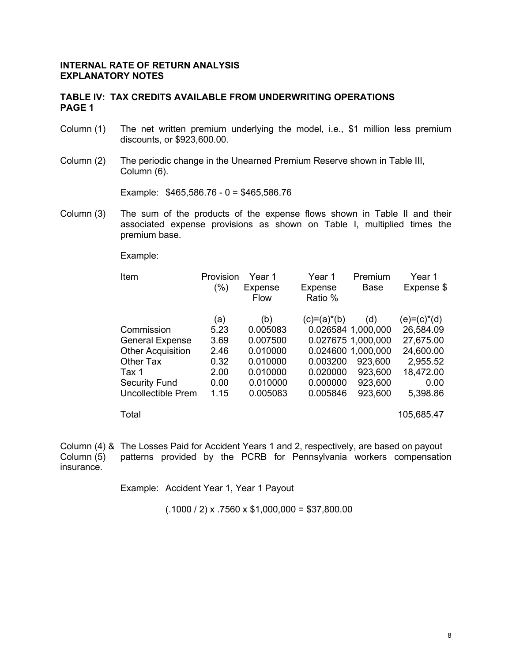#### **TABLE IV: TAX CREDITS AVAILABLE FROM UNDERWRITING OPERATIONS PAGE 1**

- Column (1) The net written premium underlying the model, i.e., \$1 million less premium discounts, or \$923,600.00.
- Column (2) The periodic change in the Unearned Premium Reserve shown in Table III, Column (6).

Example: \$465,586.76 - 0 = \$465,586.76

Column (3) The sum of the products of the expense flows shown in Table II and their associated expense provisions as shown on Table I, multiplied times the premium base.

Example:

| Item                     | Provision<br>$(\%)$ | Year 1<br><b>Expense</b><br>Flow | Year 1<br><b>Expense</b><br>Ratio % | Premium<br><b>Base</b> | Year 1<br>Expense \$ |
|--------------------------|---------------------|----------------------------------|-------------------------------------|------------------------|----------------------|
|                          | (a)                 | (b)                              | $(c)=(a)^*(b)$                      | (d)                    | $(e)= (c)^*(d)$      |
| Commission               | 5.23                | 0.005083                         |                                     | 0.026584 1,000,000     | 26,584.09            |
| <b>General Expense</b>   | 3.69                | 0.007500                         |                                     | 0.027675 1.000,000     | 27,675.00            |
| <b>Other Acquisition</b> | 2.46                | 0.010000                         |                                     | 0.024600 1.000,000     | 24,600.00            |
| <b>Other Tax</b>         | 0.32                | 0.010000                         | 0.003200                            | 923,600                | 2,955.52             |
| Tax 1                    | 2.00                | 0.010000                         | 0.020000                            | 923,600                | 18,472.00            |
| <b>Security Fund</b>     | 0.00                | 0.010000                         | 0.000000                            | 923,600                | 0.00                 |
| Uncollectible Prem       | 1.15                | 0.005083                         | 0.005846                            | 923,600                | 5,398.86             |
| Total                    |                     |                                  |                                     |                        | 105,685.47           |

Column (4) & The Losses Paid for Accident Years 1 and 2, respectively, are based on payout patterns provided by the PCRB for Pennsylvania workers compensation insurance.

Example: Accident Year 1, Year 1 Payout

 $(.1000 / 2)$  x .7560 x \$1,000,000 = \$37,800.00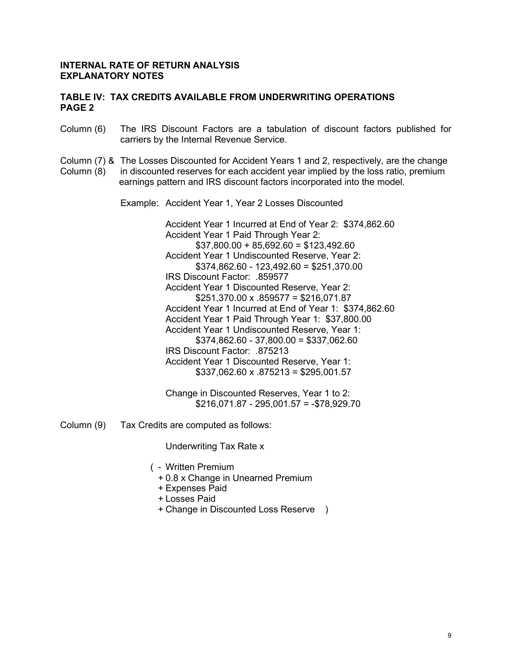#### **TABLE IV: TAX CREDITS AVAILABLE FROM UNDERWRITING OPERATIONS PAGE 2**

- Column (6) The IRS Discount Factors are a tabulation of discount factors published for carriers by the Internal Revenue Service.
- Column (7) & The Losses Discounted for Accident Years 1 and 2, respectively, are the change<br>Column (8) in discounted reserves for each accident year implied by the loss ratio, premium in discounted reserves for each accident year implied by the loss ratio, premium earnings pattern and IRS discount factors incorporated into the model.

Example: Accident Year 1, Year 2 Losses Discounted

Accident Year 1 Incurred at End of Year 2: \$374,862.60 Accident Year 1 Paid Through Year 2: \$37,800.00 + 85,692.60 = \$123,492.60 Accident Year 1 Undiscounted Reserve, Year 2: \$374,862.60 - 123,492.60 = \$251,370.00 IRS Discount Factor: .859577 Accident Year 1 Discounted Reserve, Year 2:  $$251,370.00 \times .859577 = $216,071.87$ Accident Year 1 Incurred at End of Year 1: \$374,862.60 Accident Year 1 Paid Through Year 1: \$37,800.00 Accident Year 1 Undiscounted Reserve, Year 1: \$374,862.60 - 37,800.00 = \$337,062.60 IRS Discount Factor: .875213 Accident Year 1 Discounted Reserve, Year 1:  $$337,062.60 \times .875213 = $295,001.57$ 

Change in Discounted Reserves, Year 1 to 2: \$216,071.87 - 295,001.57 = -\$78,929.70

Column (9) Tax Credits are computed as follows:

Underwriting Tax Rate x

- ( Written Premium
	- + 0.8 x Change in Unearned Premium
	- + Expenses Paid
	- + Losses Paid
	- + Change in Discounted Loss Reserve )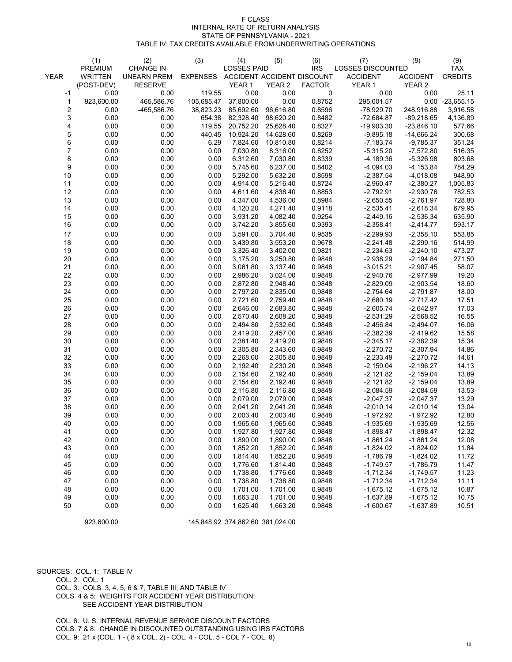|             | (1)            | (2)                | (3)             | (4)                        | (5)       | (6)           | (7)                      | (8)             | (9)            |
|-------------|----------------|--------------------|-----------------|----------------------------|-----------|---------------|--------------------------|-----------------|----------------|
|             | <b>PREMIUM</b> | <b>CHANGE IN</b>   |                 | <b>LOSSES PAID</b>         |           | <b>IRS</b>    | <b>LOSSES DISCOUNTED</b> |                 | <b>TAX</b>     |
| <b>YEAR</b> | <b>WRITTEN</b> | <b>UNEARN PREM</b> | <b>EXPENSES</b> | ACCIDENT ACCIDENT DISCOUNT |           |               | <b>ACCIDENT</b>          | <b>ACCIDENT</b> | <b>CREDITS</b> |
|             | (POST-DEV)     | <b>RESERVE</b>     |                 | <b>YEAR1</b>               | YEAR 2    | <b>FACTOR</b> | <b>YEAR 1</b>            | <b>YEAR 2</b>   |                |
| $-1$        | 0.00           | 0.00               | 119.55          | 0.00                       | 0.00      | $\mathbf 0$   | 0.00                     | 0.00            | 25.11          |
|             | 923,600.00     | 465,586.76         | 105,685.47      | 37,800.00                  | 0.00      | 0.8752        | 295,001.57               | 0.00            | $-23,655.15$   |
| 2           | 0.00           | -465,586.76        | 38,823.23       | 85,692.60                  | 96,616.80 | 0.8596        | $-78,929.70$             | 248,916.88      | 3,916.58       |
| 3           | 0.00           | 0.00               | 654.38          | 82,328.40                  | 98,620.20 | 0.8482        | $-72,684.87$             | $-89,218.65$    | 4,136.89       |
|             | 0.00           | 0.00               | 119.55          | 20,752.20                  | 25,628.40 | 0.8327        | $-19,903.30$             | $-23,846.10$    | 577.66         |
| 5           | 0.00           | 0.00               | 440.45          | 10,924.20                  | 14,628.60 | 0.8269        | $-9,895.18$              | $-14,666.24$    | 300.68         |
| 6           | 0.00           | 0.00               | 6.29            | 7,824.60                   | 10,810.80 | 0.8214        | $-7,183.74$              | $-9,785.37$     | 351.24         |
|             | 0.00           | 0.00               | 0.00            | 7,030.80                   | 8,316.00  | 0.8252        | $-5,315.20$              | $-7,572.80$     | 516.35         |
| 8           | 0.00           | 0.00               | 0.00            | 6,312.60                   | 7,030.80  | 0.8339        | $-4,189.36$              | $-5,326.98$     | 803.68         |
| 9           | 0.00           | 0.00               | 0.00            | 5,745.60                   | 6,237.00  | 0.8402        | $-4,094.03$              | $-4, 153.84$    | 784.29         |
| 10          | 0.00           | 0.00               | 0.00            | 5,292.00                   | 5,632.20  | 0.8598        | $-2,387.54$              | $-4,018.08$     | 948.90         |
| 11          | 0.00           | 0.00               | 0.00            | 4,914.00                   | 5,216.40  | 0.8724        | $-2,960.47$              | $-2,380.27$     | 1,005.83       |
| 12          | 0.00           | 0.00               | 0.00            | 4,611.60                   | 4,838.40  | 0.8853        | $-2,792.91$              | $-2,930.76$     | 782.53         |
| 13          | 0.00           | 0.00               | 0.00            | 4,347.00                   | 4,536.00  | 0.8984        | $-2,650.55$              | $-2,761.97$     | 728.80         |
| 14          | 0.00           | 0.00               | 0.00            | 4,120.20                   | 4,271.40  | 0.9118        | $-2,535.41$              | $-2,618.34$     | 679.95         |
| 15          | 0.00           | 0.00               | 0.00            | 3,931.20                   | 4,082.40  | 0.9254        | $-2,449.16$              | $-2,536.34$     | 635.90         |
| 16          | 0.00           |                    |                 |                            |           | 0.9393        |                          |                 |                |
|             |                | 0.00               | 0.00            | 3,742.20                   | 3,855.60  |               | $-2,358.41$              | $-2,414.77$     | 593.17         |
| 17          | 0.00           | 0.00               | 0.00            | 3,591.00                   | 3,704.40  | 0.9535        | $-2,299.93$              | $-2,358.10$     | 553.85         |
| 18          | 0.00           | 0.00               | 0.00            | 3,439.80                   | 3,553.20  | 0.9678        | $-2,241.48$              | $-2,299.16$     | 514.99         |
| 19          | 0.00           | 0.00               | 0.00            | 3,326.40                   | 3,402.00  | 0.9821        | $-2,234.63$              | $-2,240.10$     | 473.27         |
| 20          | 0.00           | 0.00               | 0.00            | 3,175.20                   | 3,250.80  | 0.9848        | $-2,938.29$              | $-2,194.84$     | 271.50         |
| 21          | 0.00           | 0.00               | 0.00            | 3,061.80                   | 3,137.40  | 0.9848        | $-3,015.21$              | $-2,907.45$     | 58.07          |
| 22          | 0.00           | 0.00               | 0.00            | 2,986.20                   | 3,024.00  | 0.9848        | $-2,940.76$              | $-2,977.99$     | 19.20          |
| 23          | 0.00           | 0.00               | 0.00            | 2,872.80                   | 2,948.40  | 0.9848        | $-2,829.09$              | $-2,903.54$     | 18.60          |
| 24          | 0.00           | 0.00               | 0.00            | 2,797.20                   | 2,835.00  | 0.9848        | $-2,754.64$              | $-2,791.87$     | 18.00          |
| 25          | 0.00           | 0.00               | 0.00            | 2,721.60                   | 2,759.40  | 0.9848        | $-2,680.19$              | $-2,717.42$     | 17.51          |
| 26          | 0.00           | 0.00               | 0.00            | 2,646.00                   | 2,683.80  | 0.9848        | $-2,605.74$              | $-2,642.97$     | 17.03          |
| 27          | 0.00           | 0.00               | 0.00            | 2,570.40                   | 2,608.20  | 0.9848        | $-2,531.29$              | $-2,568.52$     | 16.55          |
| 28          | 0.00           | 0.00               | 0.00            | 2,494.80                   | 2,532.60  | 0.9848        | $-2,456.84$              | $-2,494.07$     | 16.06          |
| 29          | 0.00           | 0.00               | 0.00            | 2,419.20                   | 2,457.00  | 0.9848        | $-2,382.39$              | $-2,419.62$     | 15.58          |
| 30          | 0.00           | 0.00               | 0.00            | 2,381.40                   | 2,419.20  | 0.9848        | $-2,345.17$              | $-2,382.39$     | 15.34          |
| 31          | 0.00           | 0.00               | 0.00            | 2,305.80                   | 2,343.60  | 0.9848        | $-2,270.72$              | $-2,307.94$     | 14.86          |
| 32          | 0.00           | 0.00               | 0.00            | 2,268.00                   | 2,305.80  | 0.9848        | $-2,233.49$              | $-2,270.72$     | 14.61          |
| 33          | 0.00           | 0.00               | 0.00            | 2,192.40                   | 2,230.20  | 0.9848        | $-2,159.04$              | $-2,196.27$     | 14.13          |
| 34          | 0.00           | 0.00               | 0.00            | 2,154.60                   | 2,192.40  | 0.9848        | $-2,121.82$              | $-2,159.04$     | 13.89          |
| 35          | 0.00           | 0.00               | 0.00            | 2,154.60                   | 2,192.40  | 0.9848        | $-2,121.82$              | $-2,159.04$     | 13.89          |
| 36          | 0.00           | 0.00               | 0.00            | 2,116.80                   | 2,116.80  | 0.9848        | $-2,084.59$              | $-2,084.59$     | 13.53          |
| 37          | 0.00           | 0.00               | 0.00            | 2,079.00                   | 2,079.00  | 0.9848        | $-2,047.37$              | $-2,047.37$     | 13.29          |
| 38          | 0.00           | 0.00               | 0.00            | 2,041.20                   | 2,041.20  | 0.9848        | $-2,010.14$              | $-2,010.14$     | 13.04          |
| 39          | 0.00           | 0.00               | 0.00            | 2,003.40                   | 2,003.40  | 0.9848        | $-1,972.92$              | $-1,972.92$     | 12.80          |
| 40          | 0.00           | 0.00               | 0.00            | 1,965.60                   | 1,965.60  | 0.9848        | $-1,935.69$              | $-1,935.69$     | 12.56          |
| 41          | 0.00           | 0.00               | 0.00            | 1,927.80                   | 1,927.80  | 0.9848        | $-1,898.47$              | $-1,898.47$     | 12.32          |
| 42          | 0.00           | 0.00               | 0.00            | 1,890.00                   | 1,890.00  | 0.9848        | $-1,861.24$              | $-1,861.24$     | 12.08          |
| 43          | 0.00           | 0.00               | 0.00            | 1,852.20                   | 1,852.20  | 0.9848        | $-1,824.02$              | $-1,824.02$     | 11.84          |
| 44          | 0.00           | 0.00               | 0.00            | 1,814.40                   | 1,852.20  | 0.9848        | $-1,786.79$              | $-1,824.02$     | 11.72          |
| 45          | 0.00           | 0.00               | 0.00            | 1,776.60                   | 1,814.40  | 0.9848        | $-1,749.57$              | $-1,786.79$     | 11.47          |
| 46          | 0.00           | 0.00               | 0.00            | 1,738.80                   | 1,776.60  | 0.9848        | $-1,712.34$              | $-1,749.57$     | 11.23          |
| 47          | 0.00           | 0.00               | 0.00            | 1,738.80                   | 1,738.80  | 0.9848        | $-1,712.34$              | $-1,712.34$     | 11.11          |
| 48          | 0.00           | 0.00               | 0.00            | 1,701.00                   | 1,701.00  | 0.9848        | $-1,675.12$              | $-1,675.12$     | 10.87          |
|             |                |                    |                 |                            | 1,701.00  |               |                          |                 |                |
| 49          | 0.00           | 0.00               | 0.00            | 1,663.20                   |           | 0.9848        | $-1,637.89$              | $-1,675.12$     | 10.75          |

0.00 0.00 0.00 1,625.40 1,663.20 0.9848 -1,600.67 -1,637.89 10.51

923,600.00 145,848.92 374,862.60 381,024.00

# SOURCES: COL. 1: TABLE IV COL. 2: COL. 1 COL. 3: COLS. 3, 4, 5, 6 & 7, TABLE III; AND TABLE IV COLS. 4 & 5: WEIGHTS FOR ACCIDENT YEAR DISTRIBUTION: SEE ACCIDENT YEAR DISTRIBUTION

 COL. 6: U. S. INTERNAL REVENUE SERVICE DISCOUNT FACTORS COLS. 7 & 8: CHANGE IN DISCOUNTED OUTSTANDING USING IRS FACTORS COL. 9: .21 x (COL. 1 - (.8 x COL. 2) - COL. 4 - COL. 5 - COL 7 - COL. 8)

## F CLASS INTERNAL RATE OF RETURN ANALYSIS STATE OF PENNSYLVANIA - 2021 TABLE IV: TAX CREDITS AVAILABLE FROM UNDERWRITING OPERATIONS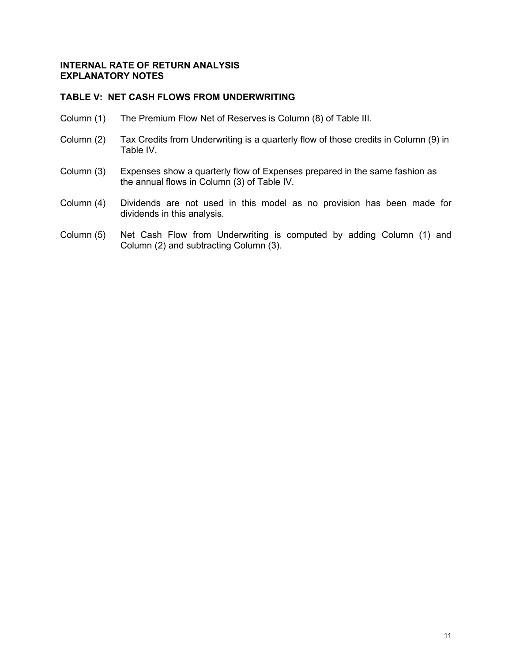## **TABLE V: NET CASH FLOWS FROM UNDERWRITING**

- Column (1) The Premium Flow Net of Reserves is Column (8) of Table III.
- Column (2) Tax Credits from Underwriting is a quarterly flow of those credits in Column (9) in Table IV.
- Column (3) Expenses show a quarterly flow of Expenses prepared in the same fashion as the annual flows in Column (3) of Table IV.
- Column (4) Dividends are not used in this model as no provision has been made for dividends in this analysis.
- Column (5) Net Cash Flow from Underwriting is computed by adding Column (1) and Column (2) and subtracting Column (3).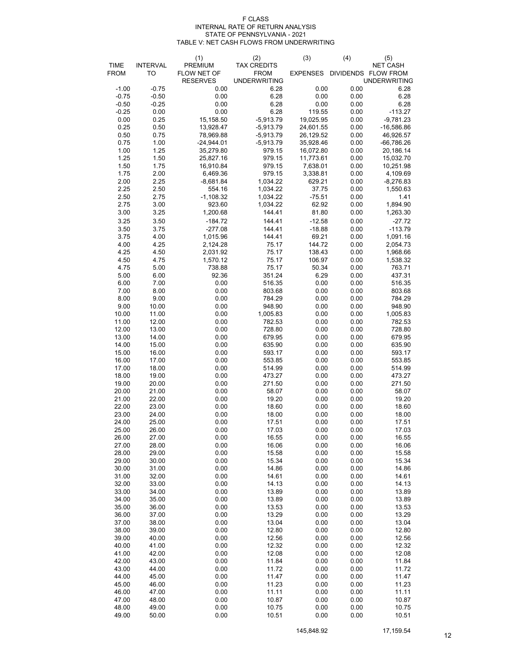#### INTERNAL RATE OF RETURN ANALYSIS STATE OF PENNSYLVANIA - 2021 TABLE V: NET CASH FLOWS FROM UNDERWRITING F CLASS

|                |                 | (1)                            | (2)                                | (3)                    | (4)          | (5)                                        |
|----------------|-----------------|--------------------------------|------------------------------------|------------------------|--------------|--------------------------------------------|
| <b>TIME</b>    | <b>INTERVAL</b> | PREMIUM                        | <b>TAX CREDITS</b>                 |                        |              | <b>NET CASH</b>                            |
| <b>FROM</b>    | TO              | FLOW NET OF<br><b>RESERVES</b> | <b>FROM</b><br><b>UNDERWRITING</b> | <b>EXPENSES</b>        |              | DIVIDENDS FLOW FROM<br><b>UNDERWRITING</b> |
| $-1.00$        | $-0.75$         | 0.00                           | 6.28                               | 0.00                   | 0.00         | 6.28                                       |
| $-0.75$        | $-0.50$         | 0.00                           | 6.28                               | 0.00                   | 0.00         | 6.28                                       |
| $-0.50$        | $-0.25$         | 0.00                           | 6.28                               | 0.00                   | 0.00         | 6.28                                       |
| $-0.25$        | 0.00            | 0.00                           | 6.28                               | 119.55                 | 0.00         | -113.27                                    |
| 0.00           | 0.25            | 15,158.50                      | $-5,913.79$                        | 19,025.95              | 0.00         | $-9,781.23$                                |
| 0.25           | 0.50<br>0.75    | 13,928.47                      | $-5,913.79$<br>$-5,913.79$         | 24,601.55              | 0.00<br>0.00 | $-16,586.86$                               |
| 0.50<br>0.75   | 1.00            | 78,969.88<br>$-24,944.01$      | $-5,913.79$                        | 26,129.52<br>35,928.46 | 0.00         | 46,926.57<br>$-66,786.26$                  |
| 1.00           | 1.25            | 35,279.80                      | 979.15                             | 16,072.80              | 0.00         | 20,186.14                                  |
| 1.25           | 1.50            | 25,827.16                      | 979.15                             | 11,773.61              | 0.00         | 15,032.70                                  |
| 1.50           | 1.75            | 16,910.84                      | 979.15                             | 7,638.01               | 0.00         | 10,251.98                                  |
| 1.75           | 2.00            | 6,469.36                       | 979.15                             | 3,338.81               | 0.00         | 4,109.69                                   |
| 2.00           | 2.25            | $-8,681.84$                    | 1,034.22                           | 629.21                 | 0.00         | $-8,276.83$                                |
| 2.25           | 2.50            | 554.16                         | 1,034.22                           | 37.75                  | 0.00         | 1,550.63                                   |
| 2.50<br>2.75   | 2.75<br>3.00    | $-1,108.32$<br>923.60          | 1,034.22<br>1,034.22               | $-75.51$<br>62.92      | 0.00<br>0.00 | 1.41<br>1,894.90                           |
| 3.00           | 3.25            | 1,200.68                       | 144.41                             | 81.80                  | 0.00         | 1,263.30                                   |
| 3.25           | 3.50            | $-184.72$                      | 144.41                             | $-12.58$               | 0.00         | $-27.72$                                   |
| 3.50           | 3.75            | $-277.08$                      | 144.41                             | $-18.88$               | 0.00         | $-113.79$                                  |
| 3.75           | 4.00            | 1,015.96                       | 144.41                             | 69.21                  | 0.00         | 1,091.16                                   |
| 4.00           | 4.25            | 2,124.28                       | 75.17                              | 144.72                 | 0.00         | 2,054.73                                   |
| 4.25           | 4.50            | 2,031.92                       | 75.17                              | 138.43                 | 0.00         | 1,968.66                                   |
| 4.50           | 4.75            | 1,570.12                       | 75.17                              | 106.97                 | 0.00         | 1,538.32                                   |
| 4.75           | 5.00            | 738.88                         | 75.17                              | 50.34                  | 0.00         | 763.71                                     |
| 5.00<br>6.00   | 6.00<br>7.00    | 92.36<br>0.00                  | 351.24<br>516.35                   | 6.29<br>0.00           | 0.00<br>0.00 | 437.31<br>516.35                           |
| 7.00           | 8.00            | 0.00                           | 803.68                             | 0.00                   | 0.00         | 803.68                                     |
| 8.00           | 9.00            | 0.00                           | 784.29                             | 0.00                   | 0.00         | 784.29                                     |
| 9.00           | 10.00           | 0.00                           | 948.90                             | 0.00                   | 0.00         | 948.90                                     |
| 10.00          | 11.00           | 0.00                           | 1,005.83                           | 0.00                   | 0.00         | 1,005.83                                   |
| 11.00          | 12.00           | 0.00                           | 782.53                             | 0.00                   | 0.00         | 782.53                                     |
| 12.00          | 13.00           | 0.00                           | 728.80                             | 0.00                   | 0.00         | 728.80                                     |
| 13.00<br>14.00 | 14.00<br>15.00  | 0.00<br>0.00                   | 679.95<br>635.90                   | 0.00<br>0.00           | 0.00<br>0.00 | 679.95                                     |
| 15.00          | 16.00           | 0.00                           | 593.17                             | 0.00                   | 0.00         | 635.90<br>593.17                           |
| 16.00          | 17.00           | 0.00                           | 553.85                             | 0.00                   | 0.00         | 553.85                                     |
| 17.00          | 18.00           | 0.00                           | 514.99                             | 0.00                   | 0.00         | 514.99                                     |
| 18.00          | 19.00           | 0.00                           | 473.27                             | 0.00                   | 0.00         | 473.27                                     |
| 19.00          | 20.00           | 0.00                           | 271.50                             | 0.00                   | 0.00         | 271.50                                     |
| 20.00          | 21.00           | 0.00                           | 58.07                              | 0.00                   | 0.00         | 58.07                                      |
| 21.00<br>22.00 | 22.00<br>23.00  | 0.00<br>0.00                   | 19.20<br>18.60                     | 0.00<br>0.00           | 0.00<br>0.00 | 19.20<br>18.60                             |
| 23.00          | 24.00           | 0.00                           | 18.00                              | 0.00                   | 0.00         | 18.00                                      |
| 24.00          | 25.00           | 0.00                           | 17.51                              | 0.00                   | 0.00         | 17.51                                      |
| 25.00          | 26.00           | 0.00                           | 17.03                              | 0.00                   | 0.00         | 17.03                                      |
| 26.00          | 27.00           | 0.00                           | 16.55                              | 0.00                   | 0.00         | 16.55                                      |
| 27.00          | 28.00           | 0.00                           | 16.06                              | 0.00                   | 0.00         | 16.06                                      |
| 28.00<br>29.00 | 29.00<br>30.00  | 0.00<br>0.00                   | 15.58<br>15.34                     | 0.00<br>0.00           | 0.00<br>0.00 | 15.58<br>15.34                             |
| 30.00          | 31.00           | 0.00                           | 14.86                              | 0.00                   | 0.00         | 14.86                                      |
| 31.00          | 32.00           | 0.00                           | 14.61                              | 0.00                   | 0.00         | 14.61                                      |
| 32.00          | 33.00           | 0.00                           | 14.13                              | 0.00                   | 0.00         | 14.13                                      |
| 33.00          | 34.00           | 0.00                           | 13.89                              | 0.00                   | 0.00         | 13.89                                      |
| 34.00          | 35.00           | 0.00                           | 13.89                              | 0.00                   | 0.00         | 13.89                                      |
| 35.00          | 36.00           | 0.00                           | 13.53                              | 0.00                   | 0.00         | 13.53                                      |
| 36.00<br>37.00 | 37.00<br>38.00  | 0.00<br>0.00                   | 13.29<br>13.04                     | 0.00<br>0.00           | 0.00<br>0.00 | 13.29<br>13.04                             |
| 38.00          | 39.00           | 0.00                           | 12.80                              | 0.00                   | 0.00         | 12.80                                      |
| 39.00          | 40.00           | 0.00                           | 12.56                              | 0.00                   | 0.00         | 12.56                                      |
| 40.00          | 41.00           | 0.00                           | 12.32                              | 0.00                   | 0.00         | 12.32                                      |
| 41.00          | 42.00           | 0.00                           | 12.08                              | 0.00                   | 0.00         | 12.08                                      |
| 42.00          | 43.00           | 0.00                           | 11.84                              | 0.00                   | 0.00         | 11.84                                      |
| 43.00          | 44.00           | 0.00                           | 11.72                              | 0.00                   | 0.00         | 11.72                                      |
| 44.00<br>45.00 | 45.00           | 0.00<br>0.00                   | 11.47<br>11.23                     | 0.00<br>0.00           | 0.00<br>0.00 | 11.47<br>11.23                             |
| 46.00          | 46.00<br>47.00  | 0.00                           | 11.11                              | 0.00                   | 0.00         | 11.11                                      |
| 47.00          | 48.00           | 0.00                           | 10.87                              | 0.00                   | 0.00         | 10.87                                      |
| 48.00          | 49.00           | 0.00                           | 10.75                              | 0.00                   | 0.00         | 10.75                                      |
| 49.00          | 50.00           | 0.00                           | 10.51                              | 0.00                   | 0.00         | 10.51                                      |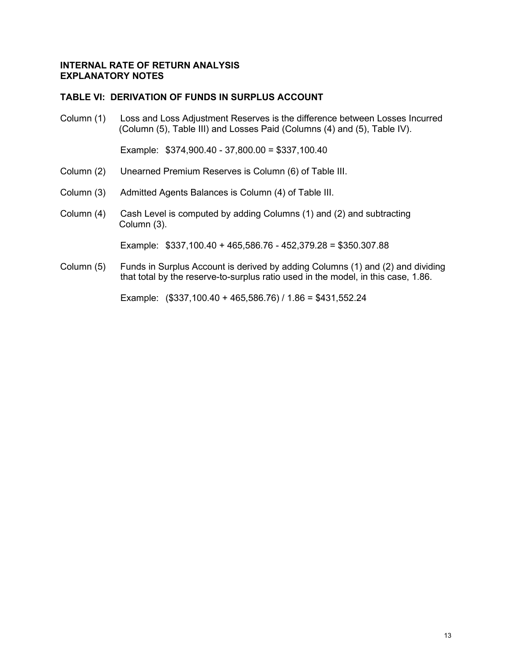## **TABLE VI: DERIVATION OF FUNDS IN SURPLUS ACCOUNT**

Column (1) Loss and Loss Adjustment Reserves is the difference between Losses Incurred (Column (5), Table III) and Losses Paid (Columns (4) and (5), Table IV).

Example: \$374,900.40 - 37,800.00 = \$337,100.40

- Column (2) Unearned Premium Reserves is Column (6) of Table III.
- Column (3) Admitted Agents Balances is Column (4) of Table III.
- Column (4) Cash Level is computed by adding Columns (1) and (2) and subtracting Column (3).

Example: \$337,100.40 + 465,586.76 - 452,379.28 = \$350.307.88

Column (5) Funds in Surplus Account is derived by adding Columns (1) and (2) and dividing that total by the reserve-to-surplus ratio used in the model, in this case, 1.86.

Example: (\$337,100.40 + 465,586.76) / 1.86 = \$431,552.24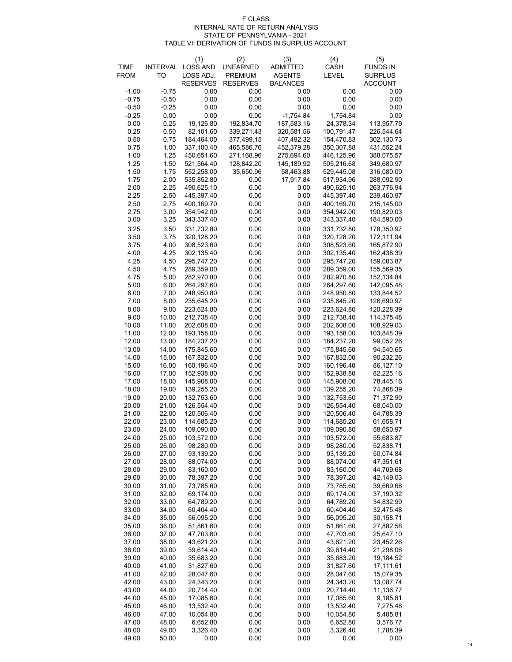| <b>TIME</b><br><b>INTERVAL</b><br><b>UNEARNED</b><br><b>ADMITTED</b><br><b>SURPLUS</b><br><b>FROM</b><br>TO<br>LOSS ADJ.<br><b>PREMIUM</b><br><b>AGENTS</b><br><b>LEVEL</b><br><b>RESERVES</b><br><b>RESERVES</b><br><b>ACCOUNT</b><br><b>BALANCES</b><br>$-1.00$<br>$-0.75$<br>0.00<br>0.00<br>0.00<br>0.00<br>0.00<br>$-0.75$<br>$-0.50$<br>0.00<br>0.00<br>0.00<br>0.00<br>0.00<br>$-0.25$<br>0.00<br>0.00<br>0.00<br>0.00<br>0.00<br>$-0.50$<br>0.00<br>$-0.25$<br>0.00<br>0.00<br>$-1,754.84$<br>0.00<br>1,754.84<br>0.00<br>0.25<br>19,126.80<br>187,583.16<br>24,378.34<br>192,834.70<br>113,957.79<br>0.25<br>0.50<br>82,101.60<br>339,271.43<br>100,791.47<br>226,544.64<br>320,581.56<br>0.50<br>0.75<br>184,464.00<br>377,499.15<br>407,492.32<br>154,470.83<br>302,130.73<br>0.75<br>1.00<br>337,100.40<br>465,586.76<br>452,379.28<br>431,552.24<br>350,307.88<br>1.25<br>1.00<br>450,651.60<br>271,168.96<br>275,694.60<br>446,125.96<br>388,075.57<br>1.25<br>1.50<br>521,564.40<br>128,842.20<br>145,189.92<br>505,216.68<br>349,680.97<br>1.50<br>1.75<br>552,258.00<br>35,650.96<br>58,463.88<br>529,445.08<br>316,080.09<br>1.75<br>0.00<br>17,917.84<br>288,092.90<br>2.00<br>535,852.80<br>517,934.96<br>2.00<br>2.25<br>490,625.10<br>0.00<br>0.00<br>490,625.10<br>263,776.94<br>2.25<br>445,397.40<br>0.00<br>0.00<br>445,397.40<br>239,460.97<br>2.50<br>2.50<br>2.75<br>400,169.70<br>0.00<br>0.00<br>400,169.70<br>215,145.00<br>2.75<br>0.00<br>3.00<br>354,942.00<br>0.00<br>354,942.00<br>190,829.03<br>3.25<br>0.00<br>3.00<br>343,337.40<br>0.00<br>343,337.40<br>184,590.00<br>3.25<br>3.50<br>0.00<br>0.00<br>331,732.80<br>331,732.80<br>178,350.97<br>0.00<br>3.50<br>3.75<br>320,128.20<br>0.00<br>320,128.20<br>172,111.94<br>3.75<br>4.00<br>308,523.60<br>0.00<br>308,523.60<br>165,872.90<br>0.00<br>4.25<br>0.00<br>4.00<br>302,135.40<br>0.00<br>302,135.40<br>162,438.39<br>4.25<br>295,747.20<br>0.00<br>295,747.20<br>159,003.87<br>4.50<br>0.00<br>4.50<br>4.75<br>0.00<br>155,569.35<br>289,359.00<br>0.00<br>289,359.00<br>0.00<br>4.75<br>5.00<br>282,970.80<br>0.00<br>282,970.80<br>152,134.84<br>5.00<br>6.00<br>0.00<br>264,297.60<br>264,297.60<br>0.00<br>142,095.48<br>7.00<br>0.00<br>6.00<br>248,950.80<br>0.00<br>248,950.80<br>133,844.52<br>7.00<br>8.00<br>235,645.20<br>0.00<br>0.00<br>235,645.20<br>126,690.97<br>0.00<br>8.00<br>9.00<br>223,624.80<br>0.00<br>223,624.80<br>120,228.39<br>9.00<br>10.00<br>0.00<br>212,738.40<br>0.00<br>212,738.40<br>114,375.48<br>10.00<br>11.00<br>0.00<br>0.00<br>202,608.00<br>202,608.00<br>108,929.03<br>11.00<br>0.00<br>12.00<br>193,158.00<br>0.00<br>193,158.00<br>103,848.39<br>12.00<br>13.00<br>0.00<br>0.00<br>184,237.20<br>184,237.20<br>99,052.26<br>0.00<br>175,845.60<br>13.00<br>14.00<br>175,845.60<br>0.00<br>94,540.65<br>15.00<br>0.00<br>14.00<br>167,832.00<br>0.00<br>167,832.00<br>90,232.26<br>15.00<br>16.00<br>160,196.40<br>0.00<br>0.00<br>160,196.40<br>86,127.10<br>16.00<br>17.00<br>152,938.80<br>0.00<br>0.00<br>152,938.80<br>82,225.16<br>17.00<br>145,908.00<br>18.00<br>145,908.00<br>0.00<br>0.00<br>78,445.16<br>18.00<br>19.00<br>0.00<br>139,255.20<br>0.00<br>139,255.20<br>74,868.39<br>19.00<br>20.00<br>0.00<br>0.00<br>71,372.90<br>132,753.60<br>132,753.60<br>21.00<br>126,554.40<br>0.00<br>0.00<br>126,554.40<br>68,040.00<br>20.00<br>21.00<br>120,506.40<br>0.00<br>0.00<br>120,506.40<br>22.00<br>64,788.39<br>22.00<br>114,685.20<br>0.00<br>0.00<br>114,685.20<br>23.00<br>61,658.71<br>0.00<br>23.00<br>24.00<br>109,090.80<br>0.00<br>109,090.80<br>58,650.97<br>24.00<br>25.00<br>103,572.00<br>0.00<br>0.00<br>103,572.00<br>55,683.87<br>26.00<br>0.00<br>0.00<br>25.00<br>98,280.00<br>98,280.00<br>52,838.71<br>0.00<br>26.00<br>27.00<br>93,139.20<br>0.00<br>93,139.20<br>50,074.84<br>27.00<br>28.00<br>0.00<br>0.00<br>88,074.00<br>88,074.00<br>47,351.61<br>28.00<br>29.00<br>83,160.00<br>0.00<br>0.00<br>83,160.00<br>44,709.68<br>30.00<br>0.00<br>0.00<br>42,149.03<br>29.00<br>78,397.20<br>78,397.20<br>30.00<br>31.00<br>73,785.60<br>0.00<br>0.00<br>73,785.60<br>39,669.68<br>0.00<br>31.00<br>32.00<br>69,174.00<br>0.00<br>69,174.00<br>37,190.32<br>0.00<br>32.00<br>33.00<br>64,789.20<br>0.00<br>64,789.20<br>34,832.90<br>33.00<br>34.00<br>60,404.40<br>0.00<br>0.00<br>60,404.40<br>32,475.48<br>35.00<br>0.00<br>0.00<br>34.00<br>56,095.20<br>56,095.20<br>30,158.71<br>35.00<br>0.00<br>36.00<br>51,861.60<br>0.00<br>51,861.60<br>27,882.58<br>36.00<br>0.00<br>37.00<br>47,703.60<br>0.00<br>47,703.60<br>25,647.10<br>37.00<br>43,621.20<br>43,621.20<br>38.00<br>0.00<br>0.00<br>23,452.26<br>38.00<br>39,614.40<br>0.00<br>0.00<br>39,614.40<br>21,298.06<br>39.00<br>0.00<br>39.00<br>40.00<br>35,683.20<br>0.00<br>35,683.20<br>19,184.52<br>41.00<br>31,827.60<br>0.00<br>0.00<br>31,827.60<br>17,111.61<br>40.00<br>28,047.60<br>28,047.60<br>41.00<br>42.00<br>0.00<br>0.00<br>15,079.35<br>0.00<br>42.00<br>43.00<br>24,343.20<br>0.00<br>24,343.20<br>13,087.74<br>43.00<br>44.00<br>20,714.40<br>0.00<br>0.00<br>20,714.40<br>11,136.77<br>17,085.60<br>0.00<br>0.00<br>17,085.60<br>44.00<br>45.00<br>9,185.81<br>13,532.40<br>0.00<br>13,532.40<br>45.00<br>46.00<br>0.00<br>7,275.48<br>46.00<br>10,054.80<br>0.00<br>0.00<br>10,054.80<br>47.00<br>5,405.81<br>0.00<br>47.00<br>48.00<br>6,652.80<br>0.00<br>6,652.80<br>3,576.77<br>48.00<br>49.00<br>3,326.40<br>0.00<br>0.00<br>3,326.40<br>1,788.39<br>0.00<br>0.00<br>0.00<br>49.00<br>50.00<br>0.00<br>0.00 |  | (1)             | (2) | (3) | (4)         | (5)             |
|---------------------------------------------------------------------------------------------------------------------------------------------------------------------------------------------------------------------------------------------------------------------------------------------------------------------------------------------------------------------------------------------------------------------------------------------------------------------------------------------------------------------------------------------------------------------------------------------------------------------------------------------------------------------------------------------------------------------------------------------------------------------------------------------------------------------------------------------------------------------------------------------------------------------------------------------------------------------------------------------------------------------------------------------------------------------------------------------------------------------------------------------------------------------------------------------------------------------------------------------------------------------------------------------------------------------------------------------------------------------------------------------------------------------------------------------------------------------------------------------------------------------------------------------------------------------------------------------------------------------------------------------------------------------------------------------------------------------------------------------------------------------------------------------------------------------------------------------------------------------------------------------------------------------------------------------------------------------------------------------------------------------------------------------------------------------------------------------------------------------------------------------------------------------------------------------------------------------------------------------------------------------------------------------------------------------------------------------------------------------------------------------------------------------------------------------------------------------------------------------------------------------------------------------------------------------------------------------------------------------------------------------------------------------------------------------------------------------------------------------------------------------------------------------------------------------------------------------------------------------------------------------------------------------------------------------------------------------------------------------------------------------------------------------------------------------------------------------------------------------------------------------------------------------------------------------------------------------------------------------------------------------------------------------------------------------------------------------------------------------------------------------------------------------------------------------------------------------------------------------------------------------------------------------------------------------------------------------------------------------------------------------------------------------------------------------------------------------------------------------------------------------------------------------------------------------------------------------------------------------------------------------------------------------------------------------------------------------------------------------------------------------------------------------------------------------------------------------------------------------------------------------------------------------------------------------------------------------------------------------------------------------------------------------------------------------------------------------------------------------------------------------------------------------------------------------------------------------------------------------------------------------------------------------------------------------------------------------------------------------------------------------------------------------------------------------------------------------------------------------------------------------------------------------------------------------------------------------------------------------------------------------------------------------------------------------------------------------------------------------------------------------------------------------------------------------------------------------------------------------------------------------------------------------------------------------------------------------------------------------------------------------------------------------------------------------------------------------------------------------------------------------------------------------------------------------------------------------------------------------------------------------------------------------------------------------------------------|--|-----------------|-----|-----|-------------|-----------------|
|                                                                                                                                                                                                                                                                                                                                                                                                                                                                                                                                                                                                                                                                                                                                                                                                                                                                                                                                                                                                                                                                                                                                                                                                                                                                                                                                                                                                                                                                                                                                                                                                                                                                                                                                                                                                                                                                                                                                                                                                                                                                                                                                                                                                                                                                                                                                                                                                                                                                                                                                                                                                                                                                                                                                                                                                                                                                                                                                                                                                                                                                                                                                                                                                                                                                                                                                                                                                                                                                                                                                                                                                                                                                                                                                                                                                                                                                                                                                                                                                                                                                                                                                                                                                                                                                                                                                                                                                                                                                                                                                                                                                                                                                                                                                                                                                                                                                                                                                                                                                                                                                                                                                                                                                                                                                                                                                                                                                                                                                                                                                                                                       |  | <b>LOSS AND</b> |     |     | <b>CASH</b> | <b>FUNDS IN</b> |
|                                                                                                                                                                                                                                                                                                                                                                                                                                                                                                                                                                                                                                                                                                                                                                                                                                                                                                                                                                                                                                                                                                                                                                                                                                                                                                                                                                                                                                                                                                                                                                                                                                                                                                                                                                                                                                                                                                                                                                                                                                                                                                                                                                                                                                                                                                                                                                                                                                                                                                                                                                                                                                                                                                                                                                                                                                                                                                                                                                                                                                                                                                                                                                                                                                                                                                                                                                                                                                                                                                                                                                                                                                                                                                                                                                                                                                                                                                                                                                                                                                                                                                                                                                                                                                                                                                                                                                                                                                                                                                                                                                                                                                                                                                                                                                                                                                                                                                                                                                                                                                                                                                                                                                                                                                                                                                                                                                                                                                                                                                                                                                                       |  |                 |     |     |             |                 |
|                                                                                                                                                                                                                                                                                                                                                                                                                                                                                                                                                                                                                                                                                                                                                                                                                                                                                                                                                                                                                                                                                                                                                                                                                                                                                                                                                                                                                                                                                                                                                                                                                                                                                                                                                                                                                                                                                                                                                                                                                                                                                                                                                                                                                                                                                                                                                                                                                                                                                                                                                                                                                                                                                                                                                                                                                                                                                                                                                                                                                                                                                                                                                                                                                                                                                                                                                                                                                                                                                                                                                                                                                                                                                                                                                                                                                                                                                                                                                                                                                                                                                                                                                                                                                                                                                                                                                                                                                                                                                                                                                                                                                                                                                                                                                                                                                                                                                                                                                                                                                                                                                                                                                                                                                                                                                                                                                                                                                                                                                                                                                                                       |  |                 |     |     |             |                 |
|                                                                                                                                                                                                                                                                                                                                                                                                                                                                                                                                                                                                                                                                                                                                                                                                                                                                                                                                                                                                                                                                                                                                                                                                                                                                                                                                                                                                                                                                                                                                                                                                                                                                                                                                                                                                                                                                                                                                                                                                                                                                                                                                                                                                                                                                                                                                                                                                                                                                                                                                                                                                                                                                                                                                                                                                                                                                                                                                                                                                                                                                                                                                                                                                                                                                                                                                                                                                                                                                                                                                                                                                                                                                                                                                                                                                                                                                                                                                                                                                                                                                                                                                                                                                                                                                                                                                                                                                                                                                                                                                                                                                                                                                                                                                                                                                                                                                                                                                                                                                                                                                                                                                                                                                                                                                                                                                                                                                                                                                                                                                                                                       |  |                 |     |     |             |                 |
|                                                                                                                                                                                                                                                                                                                                                                                                                                                                                                                                                                                                                                                                                                                                                                                                                                                                                                                                                                                                                                                                                                                                                                                                                                                                                                                                                                                                                                                                                                                                                                                                                                                                                                                                                                                                                                                                                                                                                                                                                                                                                                                                                                                                                                                                                                                                                                                                                                                                                                                                                                                                                                                                                                                                                                                                                                                                                                                                                                                                                                                                                                                                                                                                                                                                                                                                                                                                                                                                                                                                                                                                                                                                                                                                                                                                                                                                                                                                                                                                                                                                                                                                                                                                                                                                                                                                                                                                                                                                                                                                                                                                                                                                                                                                                                                                                                                                                                                                                                                                                                                                                                                                                                                                                                                                                                                                                                                                                                                                                                                                                                                       |  |                 |     |     |             |                 |
|                                                                                                                                                                                                                                                                                                                                                                                                                                                                                                                                                                                                                                                                                                                                                                                                                                                                                                                                                                                                                                                                                                                                                                                                                                                                                                                                                                                                                                                                                                                                                                                                                                                                                                                                                                                                                                                                                                                                                                                                                                                                                                                                                                                                                                                                                                                                                                                                                                                                                                                                                                                                                                                                                                                                                                                                                                                                                                                                                                                                                                                                                                                                                                                                                                                                                                                                                                                                                                                                                                                                                                                                                                                                                                                                                                                                                                                                                                                                                                                                                                                                                                                                                                                                                                                                                                                                                                                                                                                                                                                                                                                                                                                                                                                                                                                                                                                                                                                                                                                                                                                                                                                                                                                                                                                                                                                                                                                                                                                                                                                                                                                       |  |                 |     |     |             |                 |
|                                                                                                                                                                                                                                                                                                                                                                                                                                                                                                                                                                                                                                                                                                                                                                                                                                                                                                                                                                                                                                                                                                                                                                                                                                                                                                                                                                                                                                                                                                                                                                                                                                                                                                                                                                                                                                                                                                                                                                                                                                                                                                                                                                                                                                                                                                                                                                                                                                                                                                                                                                                                                                                                                                                                                                                                                                                                                                                                                                                                                                                                                                                                                                                                                                                                                                                                                                                                                                                                                                                                                                                                                                                                                                                                                                                                                                                                                                                                                                                                                                                                                                                                                                                                                                                                                                                                                                                                                                                                                                                                                                                                                                                                                                                                                                                                                                                                                                                                                                                                                                                                                                                                                                                                                                                                                                                                                                                                                                                                                                                                                                                       |  |                 |     |     |             |                 |
|                                                                                                                                                                                                                                                                                                                                                                                                                                                                                                                                                                                                                                                                                                                                                                                                                                                                                                                                                                                                                                                                                                                                                                                                                                                                                                                                                                                                                                                                                                                                                                                                                                                                                                                                                                                                                                                                                                                                                                                                                                                                                                                                                                                                                                                                                                                                                                                                                                                                                                                                                                                                                                                                                                                                                                                                                                                                                                                                                                                                                                                                                                                                                                                                                                                                                                                                                                                                                                                                                                                                                                                                                                                                                                                                                                                                                                                                                                                                                                                                                                                                                                                                                                                                                                                                                                                                                                                                                                                                                                                                                                                                                                                                                                                                                                                                                                                                                                                                                                                                                                                                                                                                                                                                                                                                                                                                                                                                                                                                                                                                                                                       |  |                 |     |     |             |                 |
|                                                                                                                                                                                                                                                                                                                                                                                                                                                                                                                                                                                                                                                                                                                                                                                                                                                                                                                                                                                                                                                                                                                                                                                                                                                                                                                                                                                                                                                                                                                                                                                                                                                                                                                                                                                                                                                                                                                                                                                                                                                                                                                                                                                                                                                                                                                                                                                                                                                                                                                                                                                                                                                                                                                                                                                                                                                                                                                                                                                                                                                                                                                                                                                                                                                                                                                                                                                                                                                                                                                                                                                                                                                                                                                                                                                                                                                                                                                                                                                                                                                                                                                                                                                                                                                                                                                                                                                                                                                                                                                                                                                                                                                                                                                                                                                                                                                                                                                                                                                                                                                                                                                                                                                                                                                                                                                                                                                                                                                                                                                                                                                       |  |                 |     |     |             |                 |
|                                                                                                                                                                                                                                                                                                                                                                                                                                                                                                                                                                                                                                                                                                                                                                                                                                                                                                                                                                                                                                                                                                                                                                                                                                                                                                                                                                                                                                                                                                                                                                                                                                                                                                                                                                                                                                                                                                                                                                                                                                                                                                                                                                                                                                                                                                                                                                                                                                                                                                                                                                                                                                                                                                                                                                                                                                                                                                                                                                                                                                                                                                                                                                                                                                                                                                                                                                                                                                                                                                                                                                                                                                                                                                                                                                                                                                                                                                                                                                                                                                                                                                                                                                                                                                                                                                                                                                                                                                                                                                                                                                                                                                                                                                                                                                                                                                                                                                                                                                                                                                                                                                                                                                                                                                                                                                                                                                                                                                                                                                                                                                                       |  |                 |     |     |             |                 |
|                                                                                                                                                                                                                                                                                                                                                                                                                                                                                                                                                                                                                                                                                                                                                                                                                                                                                                                                                                                                                                                                                                                                                                                                                                                                                                                                                                                                                                                                                                                                                                                                                                                                                                                                                                                                                                                                                                                                                                                                                                                                                                                                                                                                                                                                                                                                                                                                                                                                                                                                                                                                                                                                                                                                                                                                                                                                                                                                                                                                                                                                                                                                                                                                                                                                                                                                                                                                                                                                                                                                                                                                                                                                                                                                                                                                                                                                                                                                                                                                                                                                                                                                                                                                                                                                                                                                                                                                                                                                                                                                                                                                                                                                                                                                                                                                                                                                                                                                                                                                                                                                                                                                                                                                                                                                                                                                                                                                                                                                                                                                                                                       |  |                 |     |     |             |                 |
|                                                                                                                                                                                                                                                                                                                                                                                                                                                                                                                                                                                                                                                                                                                                                                                                                                                                                                                                                                                                                                                                                                                                                                                                                                                                                                                                                                                                                                                                                                                                                                                                                                                                                                                                                                                                                                                                                                                                                                                                                                                                                                                                                                                                                                                                                                                                                                                                                                                                                                                                                                                                                                                                                                                                                                                                                                                                                                                                                                                                                                                                                                                                                                                                                                                                                                                                                                                                                                                                                                                                                                                                                                                                                                                                                                                                                                                                                                                                                                                                                                                                                                                                                                                                                                                                                                                                                                                                                                                                                                                                                                                                                                                                                                                                                                                                                                                                                                                                                                                                                                                                                                                                                                                                                                                                                                                                                                                                                                                                                                                                                                                       |  |                 |     |     |             |                 |
|                                                                                                                                                                                                                                                                                                                                                                                                                                                                                                                                                                                                                                                                                                                                                                                                                                                                                                                                                                                                                                                                                                                                                                                                                                                                                                                                                                                                                                                                                                                                                                                                                                                                                                                                                                                                                                                                                                                                                                                                                                                                                                                                                                                                                                                                                                                                                                                                                                                                                                                                                                                                                                                                                                                                                                                                                                                                                                                                                                                                                                                                                                                                                                                                                                                                                                                                                                                                                                                                                                                                                                                                                                                                                                                                                                                                                                                                                                                                                                                                                                                                                                                                                                                                                                                                                                                                                                                                                                                                                                                                                                                                                                                                                                                                                                                                                                                                                                                                                                                                                                                                                                                                                                                                                                                                                                                                                                                                                                                                                                                                                                                       |  |                 |     |     |             |                 |
|                                                                                                                                                                                                                                                                                                                                                                                                                                                                                                                                                                                                                                                                                                                                                                                                                                                                                                                                                                                                                                                                                                                                                                                                                                                                                                                                                                                                                                                                                                                                                                                                                                                                                                                                                                                                                                                                                                                                                                                                                                                                                                                                                                                                                                                                                                                                                                                                                                                                                                                                                                                                                                                                                                                                                                                                                                                                                                                                                                                                                                                                                                                                                                                                                                                                                                                                                                                                                                                                                                                                                                                                                                                                                                                                                                                                                                                                                                                                                                                                                                                                                                                                                                                                                                                                                                                                                                                                                                                                                                                                                                                                                                                                                                                                                                                                                                                                                                                                                                                                                                                                                                                                                                                                                                                                                                                                                                                                                                                                                                                                                                                       |  |                 |     |     |             |                 |
|                                                                                                                                                                                                                                                                                                                                                                                                                                                                                                                                                                                                                                                                                                                                                                                                                                                                                                                                                                                                                                                                                                                                                                                                                                                                                                                                                                                                                                                                                                                                                                                                                                                                                                                                                                                                                                                                                                                                                                                                                                                                                                                                                                                                                                                                                                                                                                                                                                                                                                                                                                                                                                                                                                                                                                                                                                                                                                                                                                                                                                                                                                                                                                                                                                                                                                                                                                                                                                                                                                                                                                                                                                                                                                                                                                                                                                                                                                                                                                                                                                                                                                                                                                                                                                                                                                                                                                                                                                                                                                                                                                                                                                                                                                                                                                                                                                                                                                                                                                                                                                                                                                                                                                                                                                                                                                                                                                                                                                                                                                                                                                                       |  |                 |     |     |             |                 |
|                                                                                                                                                                                                                                                                                                                                                                                                                                                                                                                                                                                                                                                                                                                                                                                                                                                                                                                                                                                                                                                                                                                                                                                                                                                                                                                                                                                                                                                                                                                                                                                                                                                                                                                                                                                                                                                                                                                                                                                                                                                                                                                                                                                                                                                                                                                                                                                                                                                                                                                                                                                                                                                                                                                                                                                                                                                                                                                                                                                                                                                                                                                                                                                                                                                                                                                                                                                                                                                                                                                                                                                                                                                                                                                                                                                                                                                                                                                                                                                                                                                                                                                                                                                                                                                                                                                                                                                                                                                                                                                                                                                                                                                                                                                                                                                                                                                                                                                                                                                                                                                                                                                                                                                                                                                                                                                                                                                                                                                                                                                                                                                       |  |                 |     |     |             |                 |
|                                                                                                                                                                                                                                                                                                                                                                                                                                                                                                                                                                                                                                                                                                                                                                                                                                                                                                                                                                                                                                                                                                                                                                                                                                                                                                                                                                                                                                                                                                                                                                                                                                                                                                                                                                                                                                                                                                                                                                                                                                                                                                                                                                                                                                                                                                                                                                                                                                                                                                                                                                                                                                                                                                                                                                                                                                                                                                                                                                                                                                                                                                                                                                                                                                                                                                                                                                                                                                                                                                                                                                                                                                                                                                                                                                                                                                                                                                                                                                                                                                                                                                                                                                                                                                                                                                                                                                                                                                                                                                                                                                                                                                                                                                                                                                                                                                                                                                                                                                                                                                                                                                                                                                                                                                                                                                                                                                                                                                                                                                                                                                                       |  |                 |     |     |             |                 |
|                                                                                                                                                                                                                                                                                                                                                                                                                                                                                                                                                                                                                                                                                                                                                                                                                                                                                                                                                                                                                                                                                                                                                                                                                                                                                                                                                                                                                                                                                                                                                                                                                                                                                                                                                                                                                                                                                                                                                                                                                                                                                                                                                                                                                                                                                                                                                                                                                                                                                                                                                                                                                                                                                                                                                                                                                                                                                                                                                                                                                                                                                                                                                                                                                                                                                                                                                                                                                                                                                                                                                                                                                                                                                                                                                                                                                                                                                                                                                                                                                                                                                                                                                                                                                                                                                                                                                                                                                                                                                                                                                                                                                                                                                                                                                                                                                                                                                                                                                                                                                                                                                                                                                                                                                                                                                                                                                                                                                                                                                                                                                                                       |  |                 |     |     |             |                 |
|                                                                                                                                                                                                                                                                                                                                                                                                                                                                                                                                                                                                                                                                                                                                                                                                                                                                                                                                                                                                                                                                                                                                                                                                                                                                                                                                                                                                                                                                                                                                                                                                                                                                                                                                                                                                                                                                                                                                                                                                                                                                                                                                                                                                                                                                                                                                                                                                                                                                                                                                                                                                                                                                                                                                                                                                                                                                                                                                                                                                                                                                                                                                                                                                                                                                                                                                                                                                                                                                                                                                                                                                                                                                                                                                                                                                                                                                                                                                                                                                                                                                                                                                                                                                                                                                                                                                                                                                                                                                                                                                                                                                                                                                                                                                                                                                                                                                                                                                                                                                                                                                                                                                                                                                                                                                                                                                                                                                                                                                                                                                                                                       |  |                 |     |     |             |                 |
|                                                                                                                                                                                                                                                                                                                                                                                                                                                                                                                                                                                                                                                                                                                                                                                                                                                                                                                                                                                                                                                                                                                                                                                                                                                                                                                                                                                                                                                                                                                                                                                                                                                                                                                                                                                                                                                                                                                                                                                                                                                                                                                                                                                                                                                                                                                                                                                                                                                                                                                                                                                                                                                                                                                                                                                                                                                                                                                                                                                                                                                                                                                                                                                                                                                                                                                                                                                                                                                                                                                                                                                                                                                                                                                                                                                                                                                                                                                                                                                                                                                                                                                                                                                                                                                                                                                                                                                                                                                                                                                                                                                                                                                                                                                                                                                                                                                                                                                                                                                                                                                                                                                                                                                                                                                                                                                                                                                                                                                                                                                                                                                       |  |                 |     |     |             |                 |
|                                                                                                                                                                                                                                                                                                                                                                                                                                                                                                                                                                                                                                                                                                                                                                                                                                                                                                                                                                                                                                                                                                                                                                                                                                                                                                                                                                                                                                                                                                                                                                                                                                                                                                                                                                                                                                                                                                                                                                                                                                                                                                                                                                                                                                                                                                                                                                                                                                                                                                                                                                                                                                                                                                                                                                                                                                                                                                                                                                                                                                                                                                                                                                                                                                                                                                                                                                                                                                                                                                                                                                                                                                                                                                                                                                                                                                                                                                                                                                                                                                                                                                                                                                                                                                                                                                                                                                                                                                                                                                                                                                                                                                                                                                                                                                                                                                                                                                                                                                                                                                                                                                                                                                                                                                                                                                                                                                                                                                                                                                                                                                                       |  |                 |     |     |             |                 |
|                                                                                                                                                                                                                                                                                                                                                                                                                                                                                                                                                                                                                                                                                                                                                                                                                                                                                                                                                                                                                                                                                                                                                                                                                                                                                                                                                                                                                                                                                                                                                                                                                                                                                                                                                                                                                                                                                                                                                                                                                                                                                                                                                                                                                                                                                                                                                                                                                                                                                                                                                                                                                                                                                                                                                                                                                                                                                                                                                                                                                                                                                                                                                                                                                                                                                                                                                                                                                                                                                                                                                                                                                                                                                                                                                                                                                                                                                                                                                                                                                                                                                                                                                                                                                                                                                                                                                                                                                                                                                                                                                                                                                                                                                                                                                                                                                                                                                                                                                                                                                                                                                                                                                                                                                                                                                                                                                                                                                                                                                                                                                                                       |  |                 |     |     |             |                 |
|                                                                                                                                                                                                                                                                                                                                                                                                                                                                                                                                                                                                                                                                                                                                                                                                                                                                                                                                                                                                                                                                                                                                                                                                                                                                                                                                                                                                                                                                                                                                                                                                                                                                                                                                                                                                                                                                                                                                                                                                                                                                                                                                                                                                                                                                                                                                                                                                                                                                                                                                                                                                                                                                                                                                                                                                                                                                                                                                                                                                                                                                                                                                                                                                                                                                                                                                                                                                                                                                                                                                                                                                                                                                                                                                                                                                                                                                                                                                                                                                                                                                                                                                                                                                                                                                                                                                                                                                                                                                                                                                                                                                                                                                                                                                                                                                                                                                                                                                                                                                                                                                                                                                                                                                                                                                                                                                                                                                                                                                                                                                                                                       |  |                 |     |     |             |                 |
|                                                                                                                                                                                                                                                                                                                                                                                                                                                                                                                                                                                                                                                                                                                                                                                                                                                                                                                                                                                                                                                                                                                                                                                                                                                                                                                                                                                                                                                                                                                                                                                                                                                                                                                                                                                                                                                                                                                                                                                                                                                                                                                                                                                                                                                                                                                                                                                                                                                                                                                                                                                                                                                                                                                                                                                                                                                                                                                                                                                                                                                                                                                                                                                                                                                                                                                                                                                                                                                                                                                                                                                                                                                                                                                                                                                                                                                                                                                                                                                                                                                                                                                                                                                                                                                                                                                                                                                                                                                                                                                                                                                                                                                                                                                                                                                                                                                                                                                                                                                                                                                                                                                                                                                                                                                                                                                                                                                                                                                                                                                                                                                       |  |                 |     |     |             |                 |
|                                                                                                                                                                                                                                                                                                                                                                                                                                                                                                                                                                                                                                                                                                                                                                                                                                                                                                                                                                                                                                                                                                                                                                                                                                                                                                                                                                                                                                                                                                                                                                                                                                                                                                                                                                                                                                                                                                                                                                                                                                                                                                                                                                                                                                                                                                                                                                                                                                                                                                                                                                                                                                                                                                                                                                                                                                                                                                                                                                                                                                                                                                                                                                                                                                                                                                                                                                                                                                                                                                                                                                                                                                                                                                                                                                                                                                                                                                                                                                                                                                                                                                                                                                                                                                                                                                                                                                                                                                                                                                                                                                                                                                                                                                                                                                                                                                                                                                                                                                                                                                                                                                                                                                                                                                                                                                                                                                                                                                                                                                                                                                                       |  |                 |     |     |             |                 |
|                                                                                                                                                                                                                                                                                                                                                                                                                                                                                                                                                                                                                                                                                                                                                                                                                                                                                                                                                                                                                                                                                                                                                                                                                                                                                                                                                                                                                                                                                                                                                                                                                                                                                                                                                                                                                                                                                                                                                                                                                                                                                                                                                                                                                                                                                                                                                                                                                                                                                                                                                                                                                                                                                                                                                                                                                                                                                                                                                                                                                                                                                                                                                                                                                                                                                                                                                                                                                                                                                                                                                                                                                                                                                                                                                                                                                                                                                                                                                                                                                                                                                                                                                                                                                                                                                                                                                                                                                                                                                                                                                                                                                                                                                                                                                                                                                                                                                                                                                                                                                                                                                                                                                                                                                                                                                                                                                                                                                                                                                                                                                                                       |  |                 |     |     |             |                 |
|                                                                                                                                                                                                                                                                                                                                                                                                                                                                                                                                                                                                                                                                                                                                                                                                                                                                                                                                                                                                                                                                                                                                                                                                                                                                                                                                                                                                                                                                                                                                                                                                                                                                                                                                                                                                                                                                                                                                                                                                                                                                                                                                                                                                                                                                                                                                                                                                                                                                                                                                                                                                                                                                                                                                                                                                                                                                                                                                                                                                                                                                                                                                                                                                                                                                                                                                                                                                                                                                                                                                                                                                                                                                                                                                                                                                                                                                                                                                                                                                                                                                                                                                                                                                                                                                                                                                                                                                                                                                                                                                                                                                                                                                                                                                                                                                                                                                                                                                                                                                                                                                                                                                                                                                                                                                                                                                                                                                                                                                                                                                                                                       |  |                 |     |     |             |                 |
|                                                                                                                                                                                                                                                                                                                                                                                                                                                                                                                                                                                                                                                                                                                                                                                                                                                                                                                                                                                                                                                                                                                                                                                                                                                                                                                                                                                                                                                                                                                                                                                                                                                                                                                                                                                                                                                                                                                                                                                                                                                                                                                                                                                                                                                                                                                                                                                                                                                                                                                                                                                                                                                                                                                                                                                                                                                                                                                                                                                                                                                                                                                                                                                                                                                                                                                                                                                                                                                                                                                                                                                                                                                                                                                                                                                                                                                                                                                                                                                                                                                                                                                                                                                                                                                                                                                                                                                                                                                                                                                                                                                                                                                                                                                                                                                                                                                                                                                                                                                                                                                                                                                                                                                                                                                                                                                                                                                                                                                                                                                                                                                       |  |                 |     |     |             |                 |
|                                                                                                                                                                                                                                                                                                                                                                                                                                                                                                                                                                                                                                                                                                                                                                                                                                                                                                                                                                                                                                                                                                                                                                                                                                                                                                                                                                                                                                                                                                                                                                                                                                                                                                                                                                                                                                                                                                                                                                                                                                                                                                                                                                                                                                                                                                                                                                                                                                                                                                                                                                                                                                                                                                                                                                                                                                                                                                                                                                                                                                                                                                                                                                                                                                                                                                                                                                                                                                                                                                                                                                                                                                                                                                                                                                                                                                                                                                                                                                                                                                                                                                                                                                                                                                                                                                                                                                                                                                                                                                                                                                                                                                                                                                                                                                                                                                                                                                                                                                                                                                                                                                                                                                                                                                                                                                                                                                                                                                                                                                                                                                                       |  |                 |     |     |             |                 |
|                                                                                                                                                                                                                                                                                                                                                                                                                                                                                                                                                                                                                                                                                                                                                                                                                                                                                                                                                                                                                                                                                                                                                                                                                                                                                                                                                                                                                                                                                                                                                                                                                                                                                                                                                                                                                                                                                                                                                                                                                                                                                                                                                                                                                                                                                                                                                                                                                                                                                                                                                                                                                                                                                                                                                                                                                                                                                                                                                                                                                                                                                                                                                                                                                                                                                                                                                                                                                                                                                                                                                                                                                                                                                                                                                                                                                                                                                                                                                                                                                                                                                                                                                                                                                                                                                                                                                                                                                                                                                                                                                                                                                                                                                                                                                                                                                                                                                                                                                                                                                                                                                                                                                                                                                                                                                                                                                                                                                                                                                                                                                                                       |  |                 |     |     |             |                 |
|                                                                                                                                                                                                                                                                                                                                                                                                                                                                                                                                                                                                                                                                                                                                                                                                                                                                                                                                                                                                                                                                                                                                                                                                                                                                                                                                                                                                                                                                                                                                                                                                                                                                                                                                                                                                                                                                                                                                                                                                                                                                                                                                                                                                                                                                                                                                                                                                                                                                                                                                                                                                                                                                                                                                                                                                                                                                                                                                                                                                                                                                                                                                                                                                                                                                                                                                                                                                                                                                                                                                                                                                                                                                                                                                                                                                                                                                                                                                                                                                                                                                                                                                                                                                                                                                                                                                                                                                                                                                                                                                                                                                                                                                                                                                                                                                                                                                                                                                                                                                                                                                                                                                                                                                                                                                                                                                                                                                                                                                                                                                                                                       |  |                 |     |     |             |                 |
|                                                                                                                                                                                                                                                                                                                                                                                                                                                                                                                                                                                                                                                                                                                                                                                                                                                                                                                                                                                                                                                                                                                                                                                                                                                                                                                                                                                                                                                                                                                                                                                                                                                                                                                                                                                                                                                                                                                                                                                                                                                                                                                                                                                                                                                                                                                                                                                                                                                                                                                                                                                                                                                                                                                                                                                                                                                                                                                                                                                                                                                                                                                                                                                                                                                                                                                                                                                                                                                                                                                                                                                                                                                                                                                                                                                                                                                                                                                                                                                                                                                                                                                                                                                                                                                                                                                                                                                                                                                                                                                                                                                                                                                                                                                                                                                                                                                                                                                                                                                                                                                                                                                                                                                                                                                                                                                                                                                                                                                                                                                                                                                       |  |                 |     |     |             |                 |
|                                                                                                                                                                                                                                                                                                                                                                                                                                                                                                                                                                                                                                                                                                                                                                                                                                                                                                                                                                                                                                                                                                                                                                                                                                                                                                                                                                                                                                                                                                                                                                                                                                                                                                                                                                                                                                                                                                                                                                                                                                                                                                                                                                                                                                                                                                                                                                                                                                                                                                                                                                                                                                                                                                                                                                                                                                                                                                                                                                                                                                                                                                                                                                                                                                                                                                                                                                                                                                                                                                                                                                                                                                                                                                                                                                                                                                                                                                                                                                                                                                                                                                                                                                                                                                                                                                                                                                                                                                                                                                                                                                                                                                                                                                                                                                                                                                                                                                                                                                                                                                                                                                                                                                                                                                                                                                                                                                                                                                                                                                                                                                                       |  |                 |     |     |             |                 |
|                                                                                                                                                                                                                                                                                                                                                                                                                                                                                                                                                                                                                                                                                                                                                                                                                                                                                                                                                                                                                                                                                                                                                                                                                                                                                                                                                                                                                                                                                                                                                                                                                                                                                                                                                                                                                                                                                                                                                                                                                                                                                                                                                                                                                                                                                                                                                                                                                                                                                                                                                                                                                                                                                                                                                                                                                                                                                                                                                                                                                                                                                                                                                                                                                                                                                                                                                                                                                                                                                                                                                                                                                                                                                                                                                                                                                                                                                                                                                                                                                                                                                                                                                                                                                                                                                                                                                                                                                                                                                                                                                                                                                                                                                                                                                                                                                                                                                                                                                                                                                                                                                                                                                                                                                                                                                                                                                                                                                                                                                                                                                                                       |  |                 |     |     |             |                 |
|                                                                                                                                                                                                                                                                                                                                                                                                                                                                                                                                                                                                                                                                                                                                                                                                                                                                                                                                                                                                                                                                                                                                                                                                                                                                                                                                                                                                                                                                                                                                                                                                                                                                                                                                                                                                                                                                                                                                                                                                                                                                                                                                                                                                                                                                                                                                                                                                                                                                                                                                                                                                                                                                                                                                                                                                                                                                                                                                                                                                                                                                                                                                                                                                                                                                                                                                                                                                                                                                                                                                                                                                                                                                                                                                                                                                                                                                                                                                                                                                                                                                                                                                                                                                                                                                                                                                                                                                                                                                                                                                                                                                                                                                                                                                                                                                                                                                                                                                                                                                                                                                                                                                                                                                                                                                                                                                                                                                                                                                                                                                                                                       |  |                 |     |     |             |                 |
|                                                                                                                                                                                                                                                                                                                                                                                                                                                                                                                                                                                                                                                                                                                                                                                                                                                                                                                                                                                                                                                                                                                                                                                                                                                                                                                                                                                                                                                                                                                                                                                                                                                                                                                                                                                                                                                                                                                                                                                                                                                                                                                                                                                                                                                                                                                                                                                                                                                                                                                                                                                                                                                                                                                                                                                                                                                                                                                                                                                                                                                                                                                                                                                                                                                                                                                                                                                                                                                                                                                                                                                                                                                                                                                                                                                                                                                                                                                                                                                                                                                                                                                                                                                                                                                                                                                                                                                                                                                                                                                                                                                                                                                                                                                                                                                                                                                                                                                                                                                                                                                                                                                                                                                                                                                                                                                                                                                                                                                                                                                                                                                       |  |                 |     |     |             |                 |
|                                                                                                                                                                                                                                                                                                                                                                                                                                                                                                                                                                                                                                                                                                                                                                                                                                                                                                                                                                                                                                                                                                                                                                                                                                                                                                                                                                                                                                                                                                                                                                                                                                                                                                                                                                                                                                                                                                                                                                                                                                                                                                                                                                                                                                                                                                                                                                                                                                                                                                                                                                                                                                                                                                                                                                                                                                                                                                                                                                                                                                                                                                                                                                                                                                                                                                                                                                                                                                                                                                                                                                                                                                                                                                                                                                                                                                                                                                                                                                                                                                                                                                                                                                                                                                                                                                                                                                                                                                                                                                                                                                                                                                                                                                                                                                                                                                                                                                                                                                                                                                                                                                                                                                                                                                                                                                                                                                                                                                                                                                                                                                                       |  |                 |     |     |             |                 |
|                                                                                                                                                                                                                                                                                                                                                                                                                                                                                                                                                                                                                                                                                                                                                                                                                                                                                                                                                                                                                                                                                                                                                                                                                                                                                                                                                                                                                                                                                                                                                                                                                                                                                                                                                                                                                                                                                                                                                                                                                                                                                                                                                                                                                                                                                                                                                                                                                                                                                                                                                                                                                                                                                                                                                                                                                                                                                                                                                                                                                                                                                                                                                                                                                                                                                                                                                                                                                                                                                                                                                                                                                                                                                                                                                                                                                                                                                                                                                                                                                                                                                                                                                                                                                                                                                                                                                                                                                                                                                                                                                                                                                                                                                                                                                                                                                                                                                                                                                                                                                                                                                                                                                                                                                                                                                                                                                                                                                                                                                                                                                                                       |  |                 |     |     |             |                 |
|                                                                                                                                                                                                                                                                                                                                                                                                                                                                                                                                                                                                                                                                                                                                                                                                                                                                                                                                                                                                                                                                                                                                                                                                                                                                                                                                                                                                                                                                                                                                                                                                                                                                                                                                                                                                                                                                                                                                                                                                                                                                                                                                                                                                                                                                                                                                                                                                                                                                                                                                                                                                                                                                                                                                                                                                                                                                                                                                                                                                                                                                                                                                                                                                                                                                                                                                                                                                                                                                                                                                                                                                                                                                                                                                                                                                                                                                                                                                                                                                                                                                                                                                                                                                                                                                                                                                                                                                                                                                                                                                                                                                                                                                                                                                                                                                                                                                                                                                                                                                                                                                                                                                                                                                                                                                                                                                                                                                                                                                                                                                                                                       |  |                 |     |     |             |                 |
|                                                                                                                                                                                                                                                                                                                                                                                                                                                                                                                                                                                                                                                                                                                                                                                                                                                                                                                                                                                                                                                                                                                                                                                                                                                                                                                                                                                                                                                                                                                                                                                                                                                                                                                                                                                                                                                                                                                                                                                                                                                                                                                                                                                                                                                                                                                                                                                                                                                                                                                                                                                                                                                                                                                                                                                                                                                                                                                                                                                                                                                                                                                                                                                                                                                                                                                                                                                                                                                                                                                                                                                                                                                                                                                                                                                                                                                                                                                                                                                                                                                                                                                                                                                                                                                                                                                                                                                                                                                                                                                                                                                                                                                                                                                                                                                                                                                                                                                                                                                                                                                                                                                                                                                                                                                                                                                                                                                                                                                                                                                                                                                       |  |                 |     |     |             |                 |
|                                                                                                                                                                                                                                                                                                                                                                                                                                                                                                                                                                                                                                                                                                                                                                                                                                                                                                                                                                                                                                                                                                                                                                                                                                                                                                                                                                                                                                                                                                                                                                                                                                                                                                                                                                                                                                                                                                                                                                                                                                                                                                                                                                                                                                                                                                                                                                                                                                                                                                                                                                                                                                                                                                                                                                                                                                                                                                                                                                                                                                                                                                                                                                                                                                                                                                                                                                                                                                                                                                                                                                                                                                                                                                                                                                                                                                                                                                                                                                                                                                                                                                                                                                                                                                                                                                                                                                                                                                                                                                                                                                                                                                                                                                                                                                                                                                                                                                                                                                                                                                                                                                                                                                                                                                                                                                                                                                                                                                                                                                                                                                                       |  |                 |     |     |             |                 |
|                                                                                                                                                                                                                                                                                                                                                                                                                                                                                                                                                                                                                                                                                                                                                                                                                                                                                                                                                                                                                                                                                                                                                                                                                                                                                                                                                                                                                                                                                                                                                                                                                                                                                                                                                                                                                                                                                                                                                                                                                                                                                                                                                                                                                                                                                                                                                                                                                                                                                                                                                                                                                                                                                                                                                                                                                                                                                                                                                                                                                                                                                                                                                                                                                                                                                                                                                                                                                                                                                                                                                                                                                                                                                                                                                                                                                                                                                                                                                                                                                                                                                                                                                                                                                                                                                                                                                                                                                                                                                                                                                                                                                                                                                                                                                                                                                                                                                                                                                                                                                                                                                                                                                                                                                                                                                                                                                                                                                                                                                                                                                                                       |  |                 |     |     |             |                 |
|                                                                                                                                                                                                                                                                                                                                                                                                                                                                                                                                                                                                                                                                                                                                                                                                                                                                                                                                                                                                                                                                                                                                                                                                                                                                                                                                                                                                                                                                                                                                                                                                                                                                                                                                                                                                                                                                                                                                                                                                                                                                                                                                                                                                                                                                                                                                                                                                                                                                                                                                                                                                                                                                                                                                                                                                                                                                                                                                                                                                                                                                                                                                                                                                                                                                                                                                                                                                                                                                                                                                                                                                                                                                                                                                                                                                                                                                                                                                                                                                                                                                                                                                                                                                                                                                                                                                                                                                                                                                                                                                                                                                                                                                                                                                                                                                                                                                                                                                                                                                                                                                                                                                                                                                                                                                                                                                                                                                                                                                                                                                                                                       |  |                 |     |     |             |                 |
|                                                                                                                                                                                                                                                                                                                                                                                                                                                                                                                                                                                                                                                                                                                                                                                                                                                                                                                                                                                                                                                                                                                                                                                                                                                                                                                                                                                                                                                                                                                                                                                                                                                                                                                                                                                                                                                                                                                                                                                                                                                                                                                                                                                                                                                                                                                                                                                                                                                                                                                                                                                                                                                                                                                                                                                                                                                                                                                                                                                                                                                                                                                                                                                                                                                                                                                                                                                                                                                                                                                                                                                                                                                                                                                                                                                                                                                                                                                                                                                                                                                                                                                                                                                                                                                                                                                                                                                                                                                                                                                                                                                                                                                                                                                                                                                                                                                                                                                                                                                                                                                                                                                                                                                                                                                                                                                                                                                                                                                                                                                                                                                       |  |                 |     |     |             |                 |
|                                                                                                                                                                                                                                                                                                                                                                                                                                                                                                                                                                                                                                                                                                                                                                                                                                                                                                                                                                                                                                                                                                                                                                                                                                                                                                                                                                                                                                                                                                                                                                                                                                                                                                                                                                                                                                                                                                                                                                                                                                                                                                                                                                                                                                                                                                                                                                                                                                                                                                                                                                                                                                                                                                                                                                                                                                                                                                                                                                                                                                                                                                                                                                                                                                                                                                                                                                                                                                                                                                                                                                                                                                                                                                                                                                                                                                                                                                                                                                                                                                                                                                                                                                                                                                                                                                                                                                                                                                                                                                                                                                                                                                                                                                                                                                                                                                                                                                                                                                                                                                                                                                                                                                                                                                                                                                                                                                                                                                                                                                                                                                                       |  |                 |     |     |             |                 |
|                                                                                                                                                                                                                                                                                                                                                                                                                                                                                                                                                                                                                                                                                                                                                                                                                                                                                                                                                                                                                                                                                                                                                                                                                                                                                                                                                                                                                                                                                                                                                                                                                                                                                                                                                                                                                                                                                                                                                                                                                                                                                                                                                                                                                                                                                                                                                                                                                                                                                                                                                                                                                                                                                                                                                                                                                                                                                                                                                                                                                                                                                                                                                                                                                                                                                                                                                                                                                                                                                                                                                                                                                                                                                                                                                                                                                                                                                                                                                                                                                                                                                                                                                                                                                                                                                                                                                                                                                                                                                                                                                                                                                                                                                                                                                                                                                                                                                                                                                                                                                                                                                                                                                                                                                                                                                                                                                                                                                                                                                                                                                                                       |  |                 |     |     |             |                 |
|                                                                                                                                                                                                                                                                                                                                                                                                                                                                                                                                                                                                                                                                                                                                                                                                                                                                                                                                                                                                                                                                                                                                                                                                                                                                                                                                                                                                                                                                                                                                                                                                                                                                                                                                                                                                                                                                                                                                                                                                                                                                                                                                                                                                                                                                                                                                                                                                                                                                                                                                                                                                                                                                                                                                                                                                                                                                                                                                                                                                                                                                                                                                                                                                                                                                                                                                                                                                                                                                                                                                                                                                                                                                                                                                                                                                                                                                                                                                                                                                                                                                                                                                                                                                                                                                                                                                                                                                                                                                                                                                                                                                                                                                                                                                                                                                                                                                                                                                                                                                                                                                                                                                                                                                                                                                                                                                                                                                                                                                                                                                                                                       |  |                 |     |     |             |                 |
|                                                                                                                                                                                                                                                                                                                                                                                                                                                                                                                                                                                                                                                                                                                                                                                                                                                                                                                                                                                                                                                                                                                                                                                                                                                                                                                                                                                                                                                                                                                                                                                                                                                                                                                                                                                                                                                                                                                                                                                                                                                                                                                                                                                                                                                                                                                                                                                                                                                                                                                                                                                                                                                                                                                                                                                                                                                                                                                                                                                                                                                                                                                                                                                                                                                                                                                                                                                                                                                                                                                                                                                                                                                                                                                                                                                                                                                                                                                                                                                                                                                                                                                                                                                                                                                                                                                                                                                                                                                                                                                                                                                                                                                                                                                                                                                                                                                                                                                                                                                                                                                                                                                                                                                                                                                                                                                                                                                                                                                                                                                                                                                       |  |                 |     |     |             |                 |
|                                                                                                                                                                                                                                                                                                                                                                                                                                                                                                                                                                                                                                                                                                                                                                                                                                                                                                                                                                                                                                                                                                                                                                                                                                                                                                                                                                                                                                                                                                                                                                                                                                                                                                                                                                                                                                                                                                                                                                                                                                                                                                                                                                                                                                                                                                                                                                                                                                                                                                                                                                                                                                                                                                                                                                                                                                                                                                                                                                                                                                                                                                                                                                                                                                                                                                                                                                                                                                                                                                                                                                                                                                                                                                                                                                                                                                                                                                                                                                                                                                                                                                                                                                                                                                                                                                                                                                                                                                                                                                                                                                                                                                                                                                                                                                                                                                                                                                                                                                                                                                                                                                                                                                                                                                                                                                                                                                                                                                                                                                                                                                                       |  |                 |     |     |             |                 |
|                                                                                                                                                                                                                                                                                                                                                                                                                                                                                                                                                                                                                                                                                                                                                                                                                                                                                                                                                                                                                                                                                                                                                                                                                                                                                                                                                                                                                                                                                                                                                                                                                                                                                                                                                                                                                                                                                                                                                                                                                                                                                                                                                                                                                                                                                                                                                                                                                                                                                                                                                                                                                                                                                                                                                                                                                                                                                                                                                                                                                                                                                                                                                                                                                                                                                                                                                                                                                                                                                                                                                                                                                                                                                                                                                                                                                                                                                                                                                                                                                                                                                                                                                                                                                                                                                                                                                                                                                                                                                                                                                                                                                                                                                                                                                                                                                                                                                                                                                                                                                                                                                                                                                                                                                                                                                                                                                                                                                                                                                                                                                                                       |  |                 |     |     |             |                 |
|                                                                                                                                                                                                                                                                                                                                                                                                                                                                                                                                                                                                                                                                                                                                                                                                                                                                                                                                                                                                                                                                                                                                                                                                                                                                                                                                                                                                                                                                                                                                                                                                                                                                                                                                                                                                                                                                                                                                                                                                                                                                                                                                                                                                                                                                                                                                                                                                                                                                                                                                                                                                                                                                                                                                                                                                                                                                                                                                                                                                                                                                                                                                                                                                                                                                                                                                                                                                                                                                                                                                                                                                                                                                                                                                                                                                                                                                                                                                                                                                                                                                                                                                                                                                                                                                                                                                                                                                                                                                                                                                                                                                                                                                                                                                                                                                                                                                                                                                                                                                                                                                                                                                                                                                                                                                                                                                                                                                                                                                                                                                                                                       |  |                 |     |     |             |                 |
|                                                                                                                                                                                                                                                                                                                                                                                                                                                                                                                                                                                                                                                                                                                                                                                                                                                                                                                                                                                                                                                                                                                                                                                                                                                                                                                                                                                                                                                                                                                                                                                                                                                                                                                                                                                                                                                                                                                                                                                                                                                                                                                                                                                                                                                                                                                                                                                                                                                                                                                                                                                                                                                                                                                                                                                                                                                                                                                                                                                                                                                                                                                                                                                                                                                                                                                                                                                                                                                                                                                                                                                                                                                                                                                                                                                                                                                                                                                                                                                                                                                                                                                                                                                                                                                                                                                                                                                                                                                                                                                                                                                                                                                                                                                                                                                                                                                                                                                                                                                                                                                                                                                                                                                                                                                                                                                                                                                                                                                                                                                                                                                       |  |                 |     |     |             |                 |
|                                                                                                                                                                                                                                                                                                                                                                                                                                                                                                                                                                                                                                                                                                                                                                                                                                                                                                                                                                                                                                                                                                                                                                                                                                                                                                                                                                                                                                                                                                                                                                                                                                                                                                                                                                                                                                                                                                                                                                                                                                                                                                                                                                                                                                                                                                                                                                                                                                                                                                                                                                                                                                                                                                                                                                                                                                                                                                                                                                                                                                                                                                                                                                                                                                                                                                                                                                                                                                                                                                                                                                                                                                                                                                                                                                                                                                                                                                                                                                                                                                                                                                                                                                                                                                                                                                                                                                                                                                                                                                                                                                                                                                                                                                                                                                                                                                                                                                                                                                                                                                                                                                                                                                                                                                                                                                                                                                                                                                                                                                                                                                                       |  |                 |     |     |             |                 |
|                                                                                                                                                                                                                                                                                                                                                                                                                                                                                                                                                                                                                                                                                                                                                                                                                                                                                                                                                                                                                                                                                                                                                                                                                                                                                                                                                                                                                                                                                                                                                                                                                                                                                                                                                                                                                                                                                                                                                                                                                                                                                                                                                                                                                                                                                                                                                                                                                                                                                                                                                                                                                                                                                                                                                                                                                                                                                                                                                                                                                                                                                                                                                                                                                                                                                                                                                                                                                                                                                                                                                                                                                                                                                                                                                                                                                                                                                                                                                                                                                                                                                                                                                                                                                                                                                                                                                                                                                                                                                                                                                                                                                                                                                                                                                                                                                                                                                                                                                                                                                                                                                                                                                                                                                                                                                                                                                                                                                                                                                                                                                                                       |  |                 |     |     |             |                 |
|                                                                                                                                                                                                                                                                                                                                                                                                                                                                                                                                                                                                                                                                                                                                                                                                                                                                                                                                                                                                                                                                                                                                                                                                                                                                                                                                                                                                                                                                                                                                                                                                                                                                                                                                                                                                                                                                                                                                                                                                                                                                                                                                                                                                                                                                                                                                                                                                                                                                                                                                                                                                                                                                                                                                                                                                                                                                                                                                                                                                                                                                                                                                                                                                                                                                                                                                                                                                                                                                                                                                                                                                                                                                                                                                                                                                                                                                                                                                                                                                                                                                                                                                                                                                                                                                                                                                                                                                                                                                                                                                                                                                                                                                                                                                                                                                                                                                                                                                                                                                                                                                                                                                                                                                                                                                                                                                                                                                                                                                                                                                                                                       |  |                 |     |     |             |                 |
|                                                                                                                                                                                                                                                                                                                                                                                                                                                                                                                                                                                                                                                                                                                                                                                                                                                                                                                                                                                                                                                                                                                                                                                                                                                                                                                                                                                                                                                                                                                                                                                                                                                                                                                                                                                                                                                                                                                                                                                                                                                                                                                                                                                                                                                                                                                                                                                                                                                                                                                                                                                                                                                                                                                                                                                                                                                                                                                                                                                                                                                                                                                                                                                                                                                                                                                                                                                                                                                                                                                                                                                                                                                                                                                                                                                                                                                                                                                                                                                                                                                                                                                                                                                                                                                                                                                                                                                                                                                                                                                                                                                                                                                                                                                                                                                                                                                                                                                                                                                                                                                                                                                                                                                                                                                                                                                                                                                                                                                                                                                                                                                       |  |                 |     |     |             |                 |
|                                                                                                                                                                                                                                                                                                                                                                                                                                                                                                                                                                                                                                                                                                                                                                                                                                                                                                                                                                                                                                                                                                                                                                                                                                                                                                                                                                                                                                                                                                                                                                                                                                                                                                                                                                                                                                                                                                                                                                                                                                                                                                                                                                                                                                                                                                                                                                                                                                                                                                                                                                                                                                                                                                                                                                                                                                                                                                                                                                                                                                                                                                                                                                                                                                                                                                                                                                                                                                                                                                                                                                                                                                                                                                                                                                                                                                                                                                                                                                                                                                                                                                                                                                                                                                                                                                                                                                                                                                                                                                                                                                                                                                                                                                                                                                                                                                                                                                                                                                                                                                                                                                                                                                                                                                                                                                                                                                                                                                                                                                                                                                                       |  |                 |     |     |             |                 |
|                                                                                                                                                                                                                                                                                                                                                                                                                                                                                                                                                                                                                                                                                                                                                                                                                                                                                                                                                                                                                                                                                                                                                                                                                                                                                                                                                                                                                                                                                                                                                                                                                                                                                                                                                                                                                                                                                                                                                                                                                                                                                                                                                                                                                                                                                                                                                                                                                                                                                                                                                                                                                                                                                                                                                                                                                                                                                                                                                                                                                                                                                                                                                                                                                                                                                                                                                                                                                                                                                                                                                                                                                                                                                                                                                                                                                                                                                                                                                                                                                                                                                                                                                                                                                                                                                                                                                                                                                                                                                                                                                                                                                                                                                                                                                                                                                                                                                                                                                                                                                                                                                                                                                                                                                                                                                                                                                                                                                                                                                                                                                                                       |  |                 |     |     |             |                 |
|                                                                                                                                                                                                                                                                                                                                                                                                                                                                                                                                                                                                                                                                                                                                                                                                                                                                                                                                                                                                                                                                                                                                                                                                                                                                                                                                                                                                                                                                                                                                                                                                                                                                                                                                                                                                                                                                                                                                                                                                                                                                                                                                                                                                                                                                                                                                                                                                                                                                                                                                                                                                                                                                                                                                                                                                                                                                                                                                                                                                                                                                                                                                                                                                                                                                                                                                                                                                                                                                                                                                                                                                                                                                                                                                                                                                                                                                                                                                                                                                                                                                                                                                                                                                                                                                                                                                                                                                                                                                                                                                                                                                                                                                                                                                                                                                                                                                                                                                                                                                                                                                                                                                                                                                                                                                                                                                                                                                                                                                                                                                                                                       |  |                 |     |     |             |                 |
|                                                                                                                                                                                                                                                                                                                                                                                                                                                                                                                                                                                                                                                                                                                                                                                                                                                                                                                                                                                                                                                                                                                                                                                                                                                                                                                                                                                                                                                                                                                                                                                                                                                                                                                                                                                                                                                                                                                                                                                                                                                                                                                                                                                                                                                                                                                                                                                                                                                                                                                                                                                                                                                                                                                                                                                                                                                                                                                                                                                                                                                                                                                                                                                                                                                                                                                                                                                                                                                                                                                                                                                                                                                                                                                                                                                                                                                                                                                                                                                                                                                                                                                                                                                                                                                                                                                                                                                                                                                                                                                                                                                                                                                                                                                                                                                                                                                                                                                                                                                                                                                                                                                                                                                                                                                                                                                                                                                                                                                                                                                                                                                       |  |                 |     |     |             |                 |
|                                                                                                                                                                                                                                                                                                                                                                                                                                                                                                                                                                                                                                                                                                                                                                                                                                                                                                                                                                                                                                                                                                                                                                                                                                                                                                                                                                                                                                                                                                                                                                                                                                                                                                                                                                                                                                                                                                                                                                                                                                                                                                                                                                                                                                                                                                                                                                                                                                                                                                                                                                                                                                                                                                                                                                                                                                                                                                                                                                                                                                                                                                                                                                                                                                                                                                                                                                                                                                                                                                                                                                                                                                                                                                                                                                                                                                                                                                                                                                                                                                                                                                                                                                                                                                                                                                                                                                                                                                                                                                                                                                                                                                                                                                                                                                                                                                                                                                                                                                                                                                                                                                                                                                                                                                                                                                                                                                                                                                                                                                                                                                                       |  |                 |     |     |             |                 |
|                                                                                                                                                                                                                                                                                                                                                                                                                                                                                                                                                                                                                                                                                                                                                                                                                                                                                                                                                                                                                                                                                                                                                                                                                                                                                                                                                                                                                                                                                                                                                                                                                                                                                                                                                                                                                                                                                                                                                                                                                                                                                                                                                                                                                                                                                                                                                                                                                                                                                                                                                                                                                                                                                                                                                                                                                                                                                                                                                                                                                                                                                                                                                                                                                                                                                                                                                                                                                                                                                                                                                                                                                                                                                                                                                                                                                                                                                                                                                                                                                                                                                                                                                                                                                                                                                                                                                                                                                                                                                                                                                                                                                                                                                                                                                                                                                                                                                                                                                                                                                                                                                                                                                                                                                                                                                                                                                                                                                                                                                                                                                                                       |  |                 |     |     |             |                 |
|                                                                                                                                                                                                                                                                                                                                                                                                                                                                                                                                                                                                                                                                                                                                                                                                                                                                                                                                                                                                                                                                                                                                                                                                                                                                                                                                                                                                                                                                                                                                                                                                                                                                                                                                                                                                                                                                                                                                                                                                                                                                                                                                                                                                                                                                                                                                                                                                                                                                                                                                                                                                                                                                                                                                                                                                                                                                                                                                                                                                                                                                                                                                                                                                                                                                                                                                                                                                                                                                                                                                                                                                                                                                                                                                                                                                                                                                                                                                                                                                                                                                                                                                                                                                                                                                                                                                                                                                                                                                                                                                                                                                                                                                                                                                                                                                                                                                                                                                                                                                                                                                                                                                                                                                                                                                                                                                                                                                                                                                                                                                                                                       |  |                 |     |     |             |                 |
|                                                                                                                                                                                                                                                                                                                                                                                                                                                                                                                                                                                                                                                                                                                                                                                                                                                                                                                                                                                                                                                                                                                                                                                                                                                                                                                                                                                                                                                                                                                                                                                                                                                                                                                                                                                                                                                                                                                                                                                                                                                                                                                                                                                                                                                                                                                                                                                                                                                                                                                                                                                                                                                                                                                                                                                                                                                                                                                                                                                                                                                                                                                                                                                                                                                                                                                                                                                                                                                                                                                                                                                                                                                                                                                                                                                                                                                                                                                                                                                                                                                                                                                                                                                                                                                                                                                                                                                                                                                                                                                                                                                                                                                                                                                                                                                                                                                                                                                                                                                                                                                                                                                                                                                                                                                                                                                                                                                                                                                                                                                                                                                       |  |                 |     |     |             |                 |
|                                                                                                                                                                                                                                                                                                                                                                                                                                                                                                                                                                                                                                                                                                                                                                                                                                                                                                                                                                                                                                                                                                                                                                                                                                                                                                                                                                                                                                                                                                                                                                                                                                                                                                                                                                                                                                                                                                                                                                                                                                                                                                                                                                                                                                                                                                                                                                                                                                                                                                                                                                                                                                                                                                                                                                                                                                                                                                                                                                                                                                                                                                                                                                                                                                                                                                                                                                                                                                                                                                                                                                                                                                                                                                                                                                                                                                                                                                                                                                                                                                                                                                                                                                                                                                                                                                                                                                                                                                                                                                                                                                                                                                                                                                                                                                                                                                                                                                                                                                                                                                                                                                                                                                                                                                                                                                                                                                                                                                                                                                                                                                                       |  |                 |     |     |             |                 |
|                                                                                                                                                                                                                                                                                                                                                                                                                                                                                                                                                                                                                                                                                                                                                                                                                                                                                                                                                                                                                                                                                                                                                                                                                                                                                                                                                                                                                                                                                                                                                                                                                                                                                                                                                                                                                                                                                                                                                                                                                                                                                                                                                                                                                                                                                                                                                                                                                                                                                                                                                                                                                                                                                                                                                                                                                                                                                                                                                                                                                                                                                                                                                                                                                                                                                                                                                                                                                                                                                                                                                                                                                                                                                                                                                                                                                                                                                                                                                                                                                                                                                                                                                                                                                                                                                                                                                                                                                                                                                                                                                                                                                                                                                                                                                                                                                                                                                                                                                                                                                                                                                                                                                                                                                                                                                                                                                                                                                                                                                                                                                                                       |  |                 |     |     |             |                 |
|                                                                                                                                                                                                                                                                                                                                                                                                                                                                                                                                                                                                                                                                                                                                                                                                                                                                                                                                                                                                                                                                                                                                                                                                                                                                                                                                                                                                                                                                                                                                                                                                                                                                                                                                                                                                                                                                                                                                                                                                                                                                                                                                                                                                                                                                                                                                                                                                                                                                                                                                                                                                                                                                                                                                                                                                                                                                                                                                                                                                                                                                                                                                                                                                                                                                                                                                                                                                                                                                                                                                                                                                                                                                                                                                                                                                                                                                                                                                                                                                                                                                                                                                                                                                                                                                                                                                                                                                                                                                                                                                                                                                                                                                                                                                                                                                                                                                                                                                                                                                                                                                                                                                                                                                                                                                                                                                                                                                                                                                                                                                                                                       |  |                 |     |     |             |                 |
|                                                                                                                                                                                                                                                                                                                                                                                                                                                                                                                                                                                                                                                                                                                                                                                                                                                                                                                                                                                                                                                                                                                                                                                                                                                                                                                                                                                                                                                                                                                                                                                                                                                                                                                                                                                                                                                                                                                                                                                                                                                                                                                                                                                                                                                                                                                                                                                                                                                                                                                                                                                                                                                                                                                                                                                                                                                                                                                                                                                                                                                                                                                                                                                                                                                                                                                                                                                                                                                                                                                                                                                                                                                                                                                                                                                                                                                                                                                                                                                                                                                                                                                                                                                                                                                                                                                                                                                                                                                                                                                                                                                                                                                                                                                                                                                                                                                                                                                                                                                                                                                                                                                                                                                                                                                                                                                                                                                                                                                                                                                                                                                       |  |                 |     |     |             |                 |
|                                                                                                                                                                                                                                                                                                                                                                                                                                                                                                                                                                                                                                                                                                                                                                                                                                                                                                                                                                                                                                                                                                                                                                                                                                                                                                                                                                                                                                                                                                                                                                                                                                                                                                                                                                                                                                                                                                                                                                                                                                                                                                                                                                                                                                                                                                                                                                                                                                                                                                                                                                                                                                                                                                                                                                                                                                                                                                                                                                                                                                                                                                                                                                                                                                                                                                                                                                                                                                                                                                                                                                                                                                                                                                                                                                                                                                                                                                                                                                                                                                                                                                                                                                                                                                                                                                                                                                                                                                                                                                                                                                                                                                                                                                                                                                                                                                                                                                                                                                                                                                                                                                                                                                                                                                                                                                                                                                                                                                                                                                                                                                                       |  |                 |     |     |             |                 |

# F CLASS INTERNAL RATE OF RETURN ANALYSIS STATE OF PENNSYLVANIA - 2021 TABLE VI: DERIVATION OF FUNDS IN SURPLUS ACCOUNT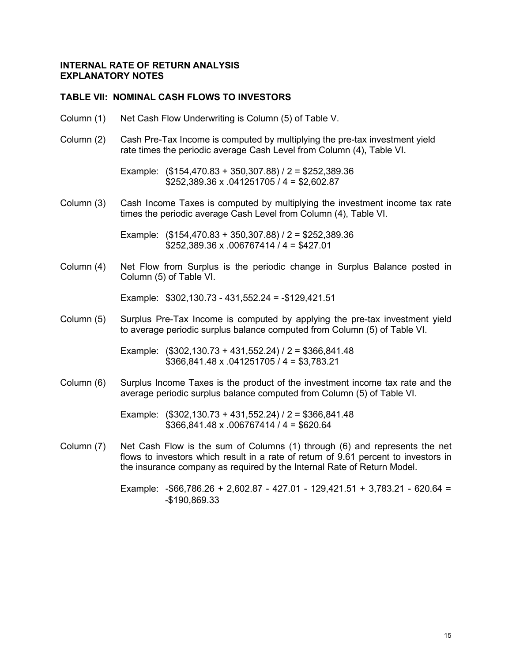#### **TABLE VII: NOMINAL CASH FLOWS TO INVESTORS**

- Column (1) Net Cash Flow Underwriting is Column (5) of Table V.
- Column (2) Cash Pre-Tax Income is computed by multiplying the pre-tax investment yield rate times the periodic average Cash Level from Column (4), Table VI.

Example: (\$154,470.83 + 350,307.88) / 2 = \$252,389.36 \$252,389.36 x .041251705 / 4 = \$2,602.87

Column (3) Cash Income Taxes is computed by multiplying the investment income tax rate times the periodic average Cash Level from Column (4), Table VI.

> Example: (\$154,470.83 + 350,307.88) / 2 = \$252,389.36  $$252,389.36 \times .006767414 / 4 = $427.01$

Column (4) Net Flow from Surplus is the periodic change in Surplus Balance posted in Column (5) of Table VI.

Example: \$302,130.73 - 431,552.24 = -\$129,421.51

Column (5) Surplus Pre-Tax Income is computed by applying the pre-tax investment yield to average periodic surplus balance computed from Column (5) of Table VI.

> Example: (\$302,130.73 + 431,552.24) / 2 = \$366,841.48 \$366,841.48 x .041251705 / 4 = \$3,783.21

Column (6) Surplus Income Taxes is the product of the investment income tax rate and the average periodic surplus balance computed from Column (5) of Table VI.

> Example: (\$302,130.73 + 431,552.24) / 2 = \$366,841.48  $$366,841.48 \times .006767414 / 4 = $620.64$

Column (7) Net Cash Flow is the sum of Columns (1) through (6) and represents the net flows to investors which result in a rate of return of 9.61 percent to investors in the insurance company as required by the Internal Rate of Return Model.

> Example: -\$66,786.26 + 2,602.87 - 427.01 - 129,421.51 + 3,783.21 - 620.64 = -\$190,869.33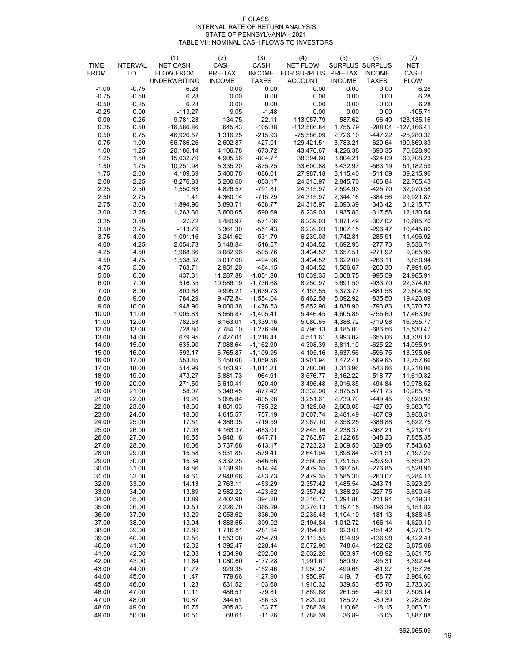#### F CLASS INTERNAL RATE OF RETURN ANALYSIS STATE OF PENNSYLVANIA - 2021 TABLE VII: NOMINAL CASH FLOWS TO INVESTORS

|                |                 | (1)                                     | (2)                      | (3)                           | (4)                                   | (5)                  | (6)                           | (7)                                 |
|----------------|-----------------|-----------------------------------------|--------------------------|-------------------------------|---------------------------------------|----------------------|-------------------------------|-------------------------------------|
| <b>TIME</b>    | <b>INTERVAL</b> | <b>NET CASH</b>                         | CASH                     | CASH                          | <b>NET FLOW</b>                       |                      | SURPLUS SURPLUS               | <b>NET</b>                          |
| <b>FROM</b>    | TO              | <b>FLOW FROM</b><br><b>UNDERWRITING</b> | PRE-TAX<br><b>INCOME</b> | <b>INCOME</b><br><b>TAXES</b> | FOR SURPLUS PRE-TAX<br><b>ACCOUNT</b> | <b>INCOME</b>        | <b>INCOME</b><br><b>TAXES</b> | CASH<br><b>FLOW</b>                 |
| $-1.00$        | $-0.75$         | 6.28                                    | 0.00                     | 0.00                          | 0.00                                  | 0.00                 | 0.00                          | 6.28                                |
| $-0.75$        | $-0.50$         | 6.28                                    | 0.00                     | 0.00                          | 0.00                                  | 0.00                 | 0.00                          | 6.28                                |
| $-0.50$        | $-0.25$         | 6.28                                    | 0.00                     | 0.00                          | 0.00                                  | 0.00                 | 0.00                          | 6.28                                |
| $-0.25$        | 0.00            | $-113.27$                               | 9.05                     | $-1.48$                       | 0.00                                  | 0.00                 | 0.00                          | $-105.71$                           |
| 0.00           | 0.25            | $-9,781.23$                             | 134.75                   | $-22.11$                      | $-113,957.79$                         | 587.62               |                               | -96.40 -123,135.16                  |
| 0.25<br>0.50   | 0.50<br>0.75    | $-16,586.86$<br>46,926.57               | 645.43<br>1,316.25       | $-105.88$<br>$-215.93$        | $-112,586.84$<br>-75,586.09           | 1,755.79<br>2,726.10 | -447.22                       | -288.04 -127,166.41<br>$-25,280.32$ |
| 0.75           | 1.00            | $-66,786.26$                            | 2,602.87                 | $-427.01$                     | $-129,421.51$                         | 3,783.21             |                               | -620.64 -190,869.33                 |
| 1.00           | 1.25            | 20,186.14                               | 4,106.78                 | $-673.72$                     | 43,476.67                             | 4,226.38             | $-693.35$                     | 70,628.90                           |
| 1.25           | 1.50            | 15,032.70                               | 4,905.56                 | $-804.77$                     | 38,394.60                             | 3,804.21             | $-624.09$                     | 60,708.23                           |
| 1.50           | 1.75            | 10,251.98                               | 5,335.20                 | $-875.25$                     | 33,600.88                             | 3,432.97             | $-563.19$                     | 51,182.59                           |
| 1.75           | 2.00            | 4,109.69                                | 5,400.78                 | $-886.01$                     | 27,987.18                             | 3,115.40             | $-511.09$                     | 39,215.96                           |
| 2.00           | 2.25<br>2.50    | $-8,276.83$                             | 5,200.60<br>4,826.57     | $-853.17$                     | 24,315.97                             | 2,845.70             | -466.84<br>$-425.70$          | 22,765.43                           |
| 2.25<br>2.50   | 2.75            | 1,550.63<br>1.41                        | 4,360.14                 | $-791.81$<br>$-715.29$        | 24,315.97<br>24,315.97                | 2,594.93<br>2,344.16 | $-384.56$                     | 32,070.58<br>29,921.82              |
| 2.75           | 3.00            | 1,894.90                                | 3,893.71                 | $-638.77$                     | 24,315.97                             | 2,093.39             | $-343.42$                     | 31,215.77                           |
| 3.00           | 3.25            | 1,263.30                                | 3,600.65                 | $-590.69$                     | 6,239.03                              | 1,935.83             | $-317.58$                     | 12,130.54                           |
| 3.25           | 3.50            | $-27.72$                                | 3,480.97                 | $-571.06$                     | 6,239.03                              | 1,871.49             | $-307.02$                     | 10,685.70                           |
| 3.50           | 3.75            | $-113.79$                               | 3,361.30                 | $-551.43$                     | 6,239.03                              | 1,807.15             | $-296.47$                     | 10,445.80                           |
| 3.75           | 4.00            | 1,091.16                                | 3,241.62                 | $-531.79$                     | 6,239.03                              | 1,742.81             | $-285.91$                     | 11,496.92                           |
| 4.00           | 4.25            | 2,054.73                                | 3,148.84<br>3,082.96     | $-516.57$                     | 3,434.52                              | 1,692.93             | $-277.73$                     | 9,536.71                            |
| 4.25<br>4.50   | 4.50<br>4.75    | 1,968.66<br>1,538.32                    | 3,017.08                 | $-505.76$<br>$-494.96$        | 3,434.52<br>3,434.52                  | 1,657.51<br>1,622.09 | $-271.92$<br>$-266.11$        | 9,365.96<br>8,850.94                |
| 4.75           | 5.00            | 763.71                                  | 2,951.20                 | $-484.15$                     | 3,434.52                              | 1,586.67             | $-260.30$                     | 7,991.65                            |
| 5.00           | 6.00            | 437.31                                  | 11,287.88                | $-1,851.80$                   | 10,039.35                             | 6,068.75             | $-995.59$                     | 24,985.91                           |
| 6.00           | 7.00            | 516.35                                  | 10,586.19                | $-1,736.68$                   | 8,250.97                              | 5,691.50             | $-933.70$                     | 22,374.62                           |
| 7.00           | 8.00            | 803.68                                  | 9,995.21                 | $-1,639.73$                   | 7,153.55                              | 5,373.77             | $-881.58$                     | 20,804.90                           |
| 8.00           | 9.00            | 784.29                                  | 9,472.84                 | $-1,554.04$                   | 6,462.58                              | 5,092.92             | $-835.50$                     | 19,423.09                           |
| 9.00<br>10.00  | 10.00<br>11.00  | 948.90<br>1,005.83                      | 9,000.36<br>8,566.87     | $-1,476.53$<br>$-1,405.41$    | 5,852.90<br>5,446.45                  | 4,838.90<br>4,605.85 | $-793.83$<br>$-755.60$        | 18,370.72<br>17,463.99              |
| 11.00          | 12.00           | 782.53                                  | 8,163.01                 | $-1,339.16$                   | 5,080.65                              | 4,388.72             | $-719.98$                     | 16,355.77                           |
| 12.00          | 13.00           | 728.80                                  | 7,784.10                 | $-1,276.99$                   | 4,796.13                              | 4,185.00             | $-686.56$                     | 15,530.47                           |
| 13.00          | 14.00           | 679.95                                  | 7,427.01                 | $-1,218.41$                   | 4,511.61                              | 3,993.02             | $-655.06$                     | 14,738.12                           |
| 14.00          | 15.00           | 635.90                                  | 7,088.64                 | $-1,162.90$                   | 4,308.39                              | 3,811.10             | $-625.22$                     | 14,055.91                           |
| 15.00          | 16.00           | 593.17                                  | 6,765.87                 | $-1,109.95$                   | 4,105.16                              | 3,637.56             | $-596.75$                     | 13,395.06                           |
| 16.00<br>17.00 | 17.00<br>18.00  | 553.85<br>514.99                        | 6,458.68<br>6,163.97     | $-1,059.56$<br>$-1,011.21$    | 3,901.94<br>3,780.00                  | 3,472.41<br>3,313.96 | $-569.65$<br>$-543.66$        | 12,757.66<br>12,218.06              |
| 18.00          | 19.00           | 473.27                                  | 5,881.73                 | $-964.91$                     | 3,576.77                              | 3,162.22             | $-518.77$                     | 11,610.32                           |
| 19.00          | 20.00           | 271.50                                  | 5,610.41                 | $-920.40$                     | 3,495.48                              | 3,016.35             | -494.84                       | 10,978.52                           |
| 20.00          | 21.00           | 58.07                                   | 5,348.45                 | $-877.42$                     | 3,332.90                              | 2,875.51             | -471.73                       | 10,265.78                           |
| 21.00          | 22.00           | 19.20                                   | 5,095.84                 | $-835.98$                     | 3,251.61                              | 2,739.70             | $-449.45$                     | 9,820.92                            |
| 22.00          | 23.00           | 18.60                                   | 4,851.03                 | $-795.82$                     | 3,129.68                              | 2,608.08             | $-427.86$                     | 9,383.70                            |
| 23.00<br>24.00 | 24.00           | 18.00<br>17.51                          | 4,615.57                 | $-757.19$<br>$-719.59$        | 3,007.74<br>2,967.10                  | 2,481.49<br>2,358.25 | -407.09                       | 8,958.51<br>8,622.75                |
| 25.00          | 25.00<br>26.00  | 17.03                                   | 4,386.35<br>4,163.37     | $-683.01$                     | 2,845.16                              | 2,238.37             | $-386.88$<br>$-367.21$        | 8,213.71                            |
| 26.00          | 27.00           | 16.55                                   | 3,948.18                 | $-647.71$                     | 2,763.87                              | 2,122.68             | $-348.23$                     | 7,855.35                            |
| 27.00          | 28.00           | 16.06                                   | 3,737.68                 | $-613.17$                     | 2,723.23                              | 2,009.50             | $-329.66$                     | 7,543.63                            |
| 28.00          | 29.00           | 15.58                                   | 3,531.85                 | $-579.41$                     | 2,641.94                              | 1,898.84             | $-311.51$                     | 7,197.29                            |
| 29.00          | 30.00           | 15.34                                   | 3,332.25                 | -546.66                       | 2,560.65                              | 1,791.53             | $-293.90$                     | 6,859.21                            |
| 30.00<br>31.00 | 31.00<br>32.00  | 14.86<br>14.61                          | 3,138.90<br>2,948.66     | $-514.94$<br>$-483.73$        | 2,479.35<br>2,479.35                  | 1,687.58<br>1,585.30 | $-276.85$<br>$-260.07$        | 6,528.90<br>6,284.13                |
| 32.00          | 33.00           | 14.13                                   | 2,763.11                 | -453.29                       | 2,357.42                              | 1,485.54             | $-243.71$                     | 5,923.20                            |
| 33.00          | 34.00           | 13.89                                   | 2,582.22                 | -423.62                       | 2,357.42                              | 1,388.29             | $-227.75$                     | 5,690.46                            |
| 34.00          | 35.00           | 13.89                                   | 2,402.90                 | $-394.20$                     | 2,316.77                              | 1,291.88             | $-211.94$                     | 5,419.31                            |
| 35.00          | 36.00           | 13.53                                   | 2,226.70                 | $-365.29$                     | 2,276.13                              | 1,197.15             | $-196.39$                     | 5,151.82                            |
| 36.00          | 37.00           | 13.29                                   | 2,053.62                 | $-336.90$                     | 2,235.48                              | 1,104.10             | $-181.13$                     | 4,888.45                            |
| 37.00          | 38.00           | 13.04                                   | 1,883.65                 | $-309.02$                     | 2,194.84                              | 1,012.72             | $-166.14$                     | 4,629.10                            |
| 38.00<br>39.00 | 39.00<br>40.00  | 12.80<br>12.56                          | 1,716.81<br>1,553.08     | $-281.64$<br>$-254.79$        | 2,154.19<br>2,113.55                  | 923.01<br>834.99     | $-151.42$<br>$-136.98$        | 4,373.75<br>4,122.41                |
| 40.00          | 41.00           | 12.32                                   | 1,392.47                 | $-228.44$                     | 2,072.90                              | 748.64               | $-122.82$                     | 3,875.08                            |
| 41.00          | 42.00           | 12.08                                   | 1,234.98                 | $-202.60$                     | 2,032.26                              | 663.97               | $-108.92$                     | 3,631.75                            |
| 42.00          | 43.00           | 11.84                                   | 1,080.60                 | $-177.28$                     | 1,991.61                              | 580.97               | $-95.31$                      | 3,392.44                            |
| 43.00          | 44.00           | 11.72                                   | 929.35                   | $-152.46$                     | 1,950.97                              | 499.65               | $-81.97$                      | 3,157.26                            |
| 44.00          | 45.00           | 11.47                                   | 779.66                   | $-127.90$                     | 1,950.97                              | 419.17               | $-68.77$                      | 2,964.60                            |
| 45.00          | 46.00           | 11.23                                   | 631.52                   | $-103.60$                     | 1,910.32                              | 339.53               | $-55.70$                      | 2,733.30                            |
| 46.00<br>47.00 | 47.00<br>48.00  | 11.11<br>10.87                          | 486.51<br>344.61         | $-79.81$<br>$-56.53$          | 1,869.68<br>1,829.03                  | 261.56<br>185.27     | $-42.91$<br>$-30.39$          | 2,506.14<br>2,282.86                |
| 48.00          | 49.00           | 10.75                                   | 205.83                   | $-33.77$                      | 1,788.39                              | 110.66               | $-18.15$                      | 2,063.71                            |
| 49.00          | 50.00           | 10.51                                   | 68.61                    | $-11.26$                      | 1,788.39                              | 36.89                | $-6.05$                       | 1,887.08                            |

362,965.09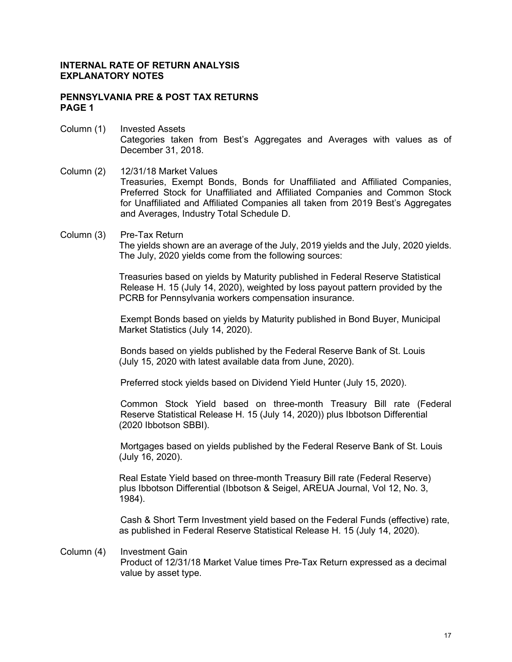#### **PENNSYLVANIA PRE & POST TAX RETURNS PAGE 1**

- Column (1) Invested Assets Categories taken from Best's Aggregates and Averages with values as of December 31, 2018.
- Column (2) 12/31/18 Market Values Treasuries, Exempt Bonds, Bonds for Unaffiliated and Affiliated Companies, Preferred Stock for Unaffiliated and Affiliated Companies and Common Stock for Unaffiliated and Affiliated Companies all taken from 2019 Best's Aggregates and Averages, Industry Total Schedule D.
- Column (3) Pre-Tax Return The yields shown are an average of the July, 2019 yields and the July, 2020 yields. The July, 2020 yields come from the following sources:

Treasuries based on yields by Maturity published in Federal Reserve Statistical Release H. 15 (July 14, 2020), weighted by loss payout pattern provided by the PCRB for Pennsylvania workers compensation insurance.

Exempt Bonds based on yields by Maturity published in Bond Buyer, Municipal Market Statistics (July 14, 2020).

Bonds based on yields published by the Federal Reserve Bank of St. Louis (July 15, 2020 with latest available data from June, 2020).

Preferred stock yields based on Dividend Yield Hunter (July 15, 2020).

Common Stock Yield based on three-month Treasury Bill rate (Federal Reserve Statistical Release H. 15 (July 14, 2020)) plus Ibbotson Differential (2020 Ibbotson SBBI).

Mortgages based on yields published by the Federal Reserve Bank of St. Louis (July 16, 2020).

Real Estate Yield based on three-month Treasury Bill rate (Federal Reserve) plus Ibbotson Differential (Ibbotson & Seigel, AREUA Journal, Vol 12, No. 3, 1984).

Cash & Short Term Investment yield based on the Federal Funds (effective) rate, as published in Federal Reserve Statistical Release H. 15 (July 14, 2020).

#### Column (4) Investment Gain

Product of 12/31/18 Market Value times Pre-Tax Return expressed as a decimal value by asset type.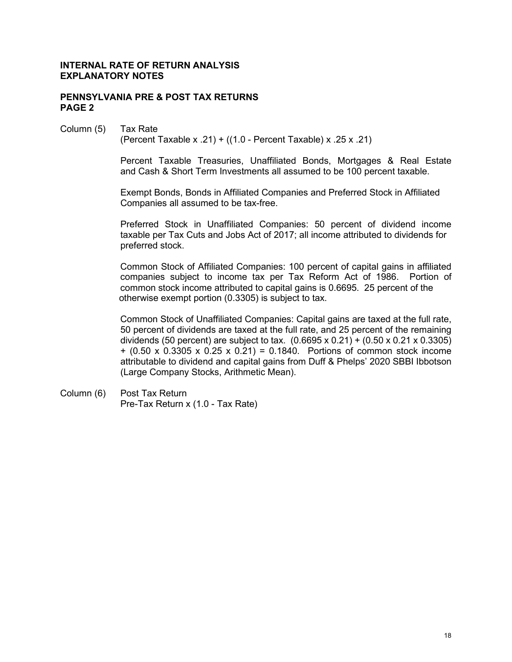#### **PENNSYLVANIA PRE & POST TAX RETURNS PAGE 2**

# Column (5) Tax Rate

(Percent Taxable x .21) + ((1.0 - Percent Taxable) x .25 x .21)

Percent Taxable Treasuries, Unaffiliated Bonds, Mortgages & Real Estate and Cash & Short Term Investments all assumed to be 100 percent taxable.

Exempt Bonds, Bonds in Affiliated Companies and Preferred Stock in Affiliated Companies all assumed to be tax-free.

Preferred Stock in Unaffiliated Companies: 50 percent of dividend income taxable per Tax Cuts and Jobs Act of 2017; all income attributed to dividends for preferred stock.

Common Stock of Affiliated Companies: 100 percent of capital gains in affiliated companies subject to income tax per Tax Reform Act of 1986. Portion of common stock income attributed to capital gains is 0.6695. 25 percent of the otherwise exempt portion (0.3305) is subject to tax.

Common Stock of Unaffiliated Companies: Capital gains are taxed at the full rate, 50 percent of dividends are taxed at the full rate, and 25 percent of the remaining dividends (50 percent) are subject to tax. (0.6695 x 0.21) + (0.50 x 0.21 x 0.3305) + (0.50 x 0.3305 x 0.25 x 0.21) = 0.1840. Portions of common stock income attributable to dividend and capital gains from Duff & Phelps' 2020 SBBI Ibbotson (Large Company Stocks, Arithmetic Mean).

Column (6) Post Tax Return Pre-Tax Return x (1.0 - Tax Rate)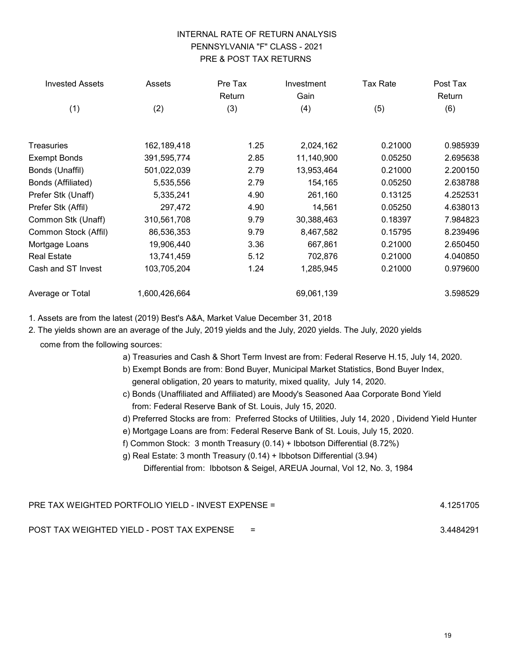# INTERNAL RATE OF RETURN ANALYSIS PENNSYLVANIA "F" CLASS - 2021 PRE & POST TAX RETURNS

| <b>Invested Assets</b> | Assets        | Pre Tax<br>Return | Investment<br>Gain | Tax Rate | Post Tax<br>Return |
|------------------------|---------------|-------------------|--------------------|----------|--------------------|
| (1)                    | (2)           | (3)               | (4)                | (5)      | (6)                |
| <b>Treasuries</b>      | 162,189,418   | 1.25              | 2,024,162          | 0.21000  | 0.985939           |
| <b>Exempt Bonds</b>    | 391,595,774   | 2.85              | 11,140,900         | 0.05250  | 2.695638           |
| Bonds (Unaffil)        | 501,022,039   | 2.79              | 13,953,464         | 0.21000  | 2.200150           |
| Bonds (Affiliated)     | 5,535,556     | 2.79              | 154,165            | 0.05250  | 2.638788           |
| Prefer Stk (Unaff)     | 5,335,241     | 4.90              | 261,160            | 0.13125  | 4.252531           |
| Prefer Stk (Affil)     | 297,472       | 4.90              | 14,561             | 0.05250  | 4.638013           |
| Common Stk (Unaff)     | 310,561,708   | 9.79              | 30,388,463         | 0.18397  | 7.984823           |
| Common Stock (Affil)   | 86,536,353    | 9.79              | 8,467,582          | 0.15795  | 8.239496           |
| Mortgage Loans         | 19,906,440    | 3.36              | 667,861            | 0.21000  | 2.650450           |
| <b>Real Estate</b>     | 13,741,459    | 5.12              | 702,876            | 0.21000  | 4.040850           |
| Cash and ST Invest     | 103,705,204   | 1.24              | 1,285,945          | 0.21000  | 0.979600           |
| Average or Total       | 1,600,426,664 |                   | 69,061,139         |          | 3.598529           |

1. Assets are from the latest (2019) Best's A&A, Market Value December 31, 2018

2. The yields shown are an average of the July, 2019 yields and the July, 2020 yields. The July, 2020 yields

come from the following sources:

- a) Treasuries and Cash & Short Term Invest are from: Federal Reserve H.15, July 14, 2020.
- b) Exempt Bonds are from: Bond Buyer, Municipal Market Statistics, Bond Buyer Index, general obligation, 20 years to maturity, mixed quality, July 14, 2020.
- c) Bonds (Unaffiliated and Affiliated) are Moody's Seasoned Aaa Corporate Bond Yield from: Federal Reserve Bank of St. Louis, July 15, 2020.
- d) Preferred Stocks are from: Preferred Stocks of Utilities, July 14, 2020 , Dividend Yield Hunter
- e) Mortgage Loans are from: Federal Reserve Bank of St. Louis, July 15, 2020.
- f) Common Stock: 3 month Treasury (0.14) + Ibbotson Differential (8.72%)

g) Real Estate: 3 month Treasury (0.14) + Ibbotson Differential (3.94)

Differential from: Ibbotson & Seigel, AREUA Journal, Vol 12, No. 3, 1984

| <b>PRE TAX WEIGHTED PORTFOLIO YIELD - INVEST EXPENSE =</b><br>4.1251705 |     |           |  |  |  |  |
|-------------------------------------------------------------------------|-----|-----------|--|--|--|--|
| POST TAX WEIGHTED YIELD - POST TAX EXPENSE                              | $=$ | 3.4484291 |  |  |  |  |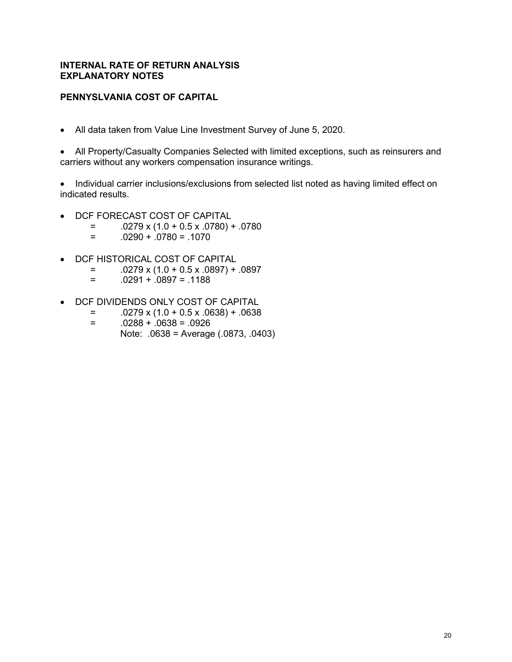## **PENNYSLVANIA COST OF CAPITAL**

• All data taken from Value Line Investment Survey of June 5, 2020.

• All Property/Casualty Companies Selected with limited exceptions, such as reinsurers and carriers without any workers compensation insurance writings.

• Individual carrier inclusions/exclusions from selected list noted as having limited effect on indicated results.

- DCF FORECAST COST OF CAPITAL
	- $=$  .0279 x (1.0 + 0.5 x .0780) + .0780<br> $=$  0290 + 0780 = 1070
	- $.0290 + .0780 = .1070$
- DCF HISTORICAL COST OF CAPITAL
	- $=$  .0279 x (1.0 + 0.5 x .0897) + .0897
	- $= 0.0291 + 0.0897 = 0.1188$
- DCF DIVIDENDS ONLY COST OF CAPITAL
	- $=$  .0279 x (1.0 + 0.5 x .0638) + .0638<br> $=$  0288 + 0638 = 0926
	- $.0288 + .0638 = .0926$ Note: .0638 = Average (.0873, .0403)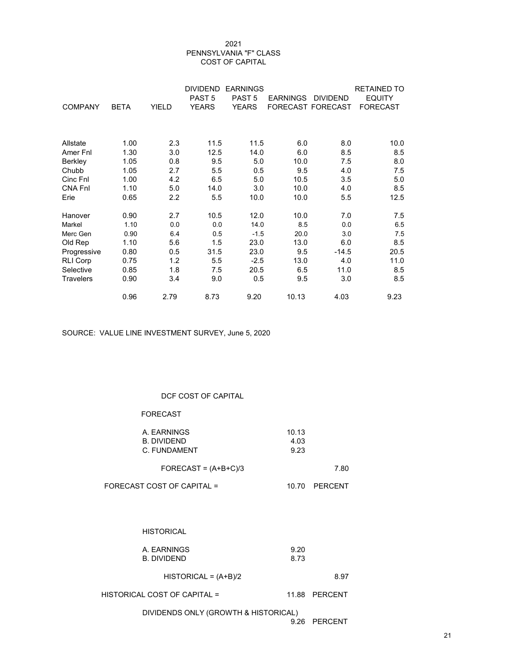#### 2021 PENNSYLVANIA "F" CLASS COST OF CAPITAL

|                  |             |       | <b>DIVIDEND</b>   | <b>EARNINGS</b>   |                   |                 | <b>RETAINED TO</b> |
|------------------|-------------|-------|-------------------|-------------------|-------------------|-----------------|--------------------|
|                  |             |       | PAST <sub>5</sub> | PAST <sub>5</sub> | <b>EARNINGS</b>   | <b>DIVIDEND</b> | <b>EQUITY</b>      |
| <b>COMPANY</b>   | <b>BETA</b> | YIELD | <b>YEARS</b>      | <b>YEARS</b>      | FORECAST FORECAST |                 | <b>FORECAST</b>    |
|                  |             |       |                   |                   |                   |                 |                    |
|                  |             |       |                   |                   |                   |                 |                    |
| Allstate         | 1.00        | 2.3   | 11.5              | 11.5              | 6.0               | 8.0             | 10.0               |
| Amer Fnl         | 1.30        | 3.0   | 12.5              | 14.0              | 6.0               | 8.5             | 8.5                |
| Berkley          | 1.05        | 0.8   | 9.5               | 5.0               | 10.0              | 7.5             | 8.0                |
| Chubb            | 1.05        | 2.7   | 5.5               | 0.5               | 9.5               | 4.0             | 7.5                |
| Cinc Fnl         | 1.00        | 4.2   | 6.5               | 5.0               | 10.5              | 3.5             | 5.0                |
| <b>CNA FnI</b>   | 1.10        | 5.0   | 14.0              | 3.0               | 10.0              | 4.0             | 8.5                |
| Erie             | 0.65        | 2.2   | 5.5               | 10.0              | 10.0              | 5.5             | 12.5               |
| Hanover          | 0.90        | 2.7   | 10.5              | 12.0              | 10.0              | 7.0             | 7.5                |
| Markel           | 1.10        | 0.0   | 0.0               | 14.0              | 8.5               | 0.0             | 6.5                |
| Merc Gen         | 0.90        | 6.4   | 0.5               | $-1.5$            | 20.0              | 3.0             | 7.5                |
| Old Rep          | 1.10        | 5.6   | 1.5               | 23.0              | 13.0              | 6.0             | 8.5                |
| Progressive      | 0.80        | 0.5   | 31.5              | 23.0              | 9.5               | $-14.5$         | 20.5               |
| <b>RLI Corp</b>  | 0.75        | 1.2   | 5.5               | $-2.5$            | 13.0              | 4.0             | 11.0               |
| Selective        | 0.85        | 1.8   | 7.5               | 20.5              | 6.5               | 11.0            | 8.5                |
| <b>Travelers</b> | 0.90        | 3.4   | 9.0               | 0.5               | 9.5               | 3.0             | 8.5                |
|                  | 0.96        | 2.79  | 8.73              | 9.20              | 10.13             | 4.03            | 9.23               |

SOURCE: VALUE LINE INVESTMENT SURVEY, June 5, 2020

#### DCF COST OF CAPITAL

#### FORECAST

| A. EARNINGS  | 10.13 |
|--------------|-------|
| B. DIVIDEND  | 4.03  |
| C. FUNDAMENT | 9.23  |

| FORECAST = $(A+B+C)/3$ | 7.80 |
|------------------------|------|
|------------------------|------|

| FORECAST COST OF CAPITAL = | 10.70 PERCENT |
|----------------------------|---------------|
|                            |               |

#### **HISTORICAL**

| A. EARNINGS | 9.20 |
|-------------|------|
| B. DIVIDEND | 8.73 |

 $HISTORICAL = (A+B)/2$  8.97

#### HISTORICAL COST OF CAPITAL = 11.88 PERCENT

DIVIDENDS ONLY (GROWTH & HISTORICAL)

9.26 PERCENT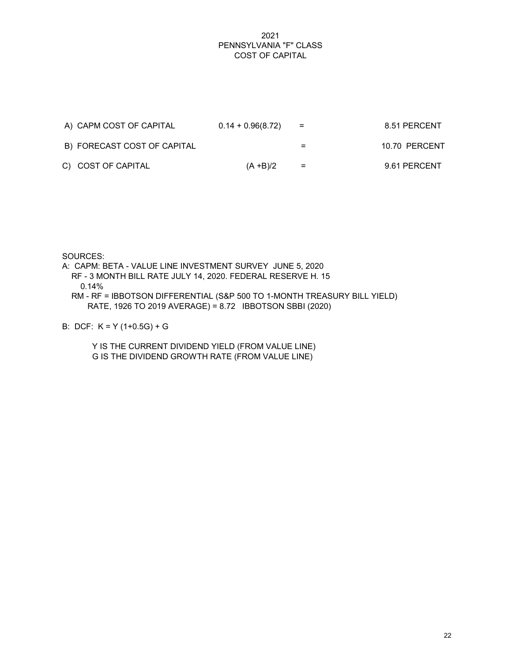#### 2021 PENNSYLVANIA "F" CLASS COST OF CAPITAL

| A) CAPM COST OF CAPITAL     | $0.14 + 0.96(8.72)$ | $=$ | 8.51 PERCENT  |
|-----------------------------|---------------------|-----|---------------|
| B) FORECAST COST OF CAPITAL |                     | $=$ | 10.70 PERCENT |
| C) COST OF CAPITAL          | $(A + B)/2$         | $=$ | 9.61 PERCENT  |

SOURCES:

A: CAPM: BETA - VALUE LINE INVESTMENT SURVEY JUNE 5, 2020 RF - 3 MONTH BILL RATE JULY 14, 2020. FEDERAL RESERVE H. 15 0.14% RM - RF = IBBOTSON DIFFERENTIAL (S&P 500 TO 1-MONTH TREASURY BILL YIELD)

RATE, 1926 TO 2019 AVERAGE) = 8.72 IBBOTSON SBBI (2020)

B: DCF: K = Y (1+0.5G) + G

 Y IS THE CURRENT DIVIDEND YIELD (FROM VALUE LINE) G IS THE DIVIDEND GROWTH RATE (FROM VALUE LINE)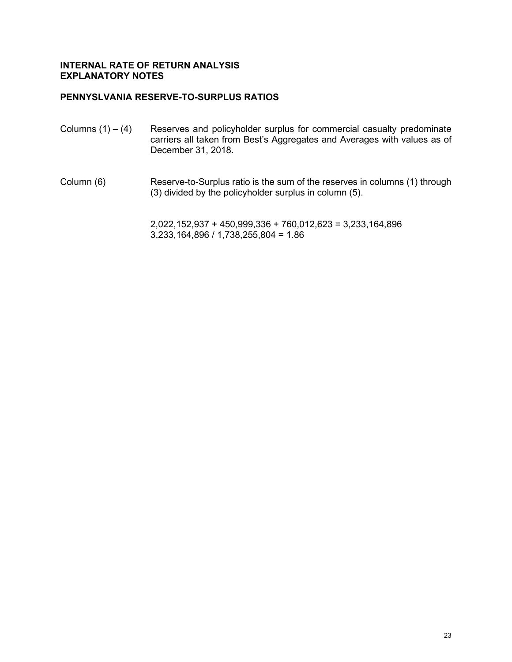## **PENNYSLVANIA RESERVE-TO-SURPLUS RATIOS**

- Columns  $(1) (4)$  Reserves and policyholder surplus for commercial casualty predominate carriers all taken from Best's Aggregates and Averages with values as of December 31, 2018.
- Column (6) Reserve-to-Surplus ratio is the sum of the reserves in columns (1) through (3) divided by the policyholder surplus in column (5).

2,022,152,937 + 450,999,336 + 760,012,623 = 3,233,164,896 3,233,164,896 / 1,738,255,804 = 1.86